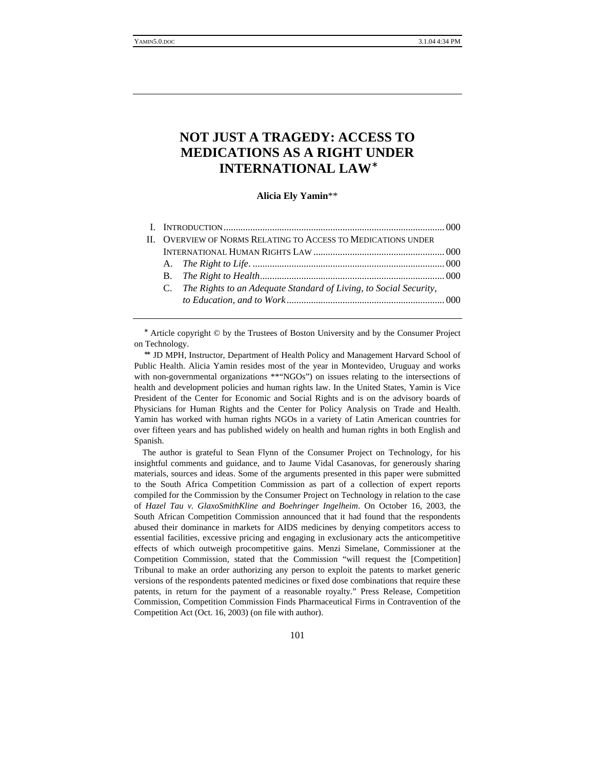# **NOT JUST A TRAGEDY: ACCESS TO MEDICATIONS AS A RIGHT UNDER INTERNATIONAL LAW**

**Alicia Ely Yamin**\*\*

| II. OVERVIEW OF NORMS RELATING TO ACCESS TO MEDICATIONS UNDER |                                                                      |  |  |
|---------------------------------------------------------------|----------------------------------------------------------------------|--|--|
|                                                               |                                                                      |  |  |
|                                                               |                                                                      |  |  |
|                                                               |                                                                      |  |  |
|                                                               | C. The Rights to an Adequate Standard of Living, to Social Security, |  |  |
|                                                               |                                                                      |  |  |
|                                                               |                                                                      |  |  |

Article copyright © by the Trustees of Boston University and by the Consumer Project on Technology.

JD MPH, Instructor, Department of Health Policy and Management Harvard School of Public Health. Alicia Yamin resides most of the year in Montevideo, Uruguay and works with non-governmental organizations \*\*"NGOs") on issues relating to the intersections of health and development policies and human rights law. In the United States, Yamin is Vice President of the Center for Economic and Social Rights and is on the advisory boards of Physicians for Human Rights and the Center for Policy Analysis on Trade and Health. Yamin has worked with human rights NGOs in a variety of Latin American countries for over fifteen years and has published widely on health and human rights in both English and Spanish.

The author is grateful to Sean Flynn of the Consumer Project on Technology, for his insightful comments and guidance, and to Jaume Vidal Casanovas, for generously sharing materials, sources and ideas. Some of the arguments presented in this paper were submitted to the South Africa Competition Commission as part of a collection of expert reports compiled for the Commission by the Consumer Project on Technology in relation to the case of *Hazel Tau v. GlaxoSmithKline and Boehringer Ingelheim*. On October 16, 2003, the South African Competition Commission announced that it had found that the respondents abused their dominance in markets for AIDS medicines by denying competitors access to essential facilities, excessive pricing and engaging in exclusionary acts the anticompetitive effects of which outweigh procompetitive gains. Menzi Simelane, Commissioner at the Competition Commission, stated that the Commission "will request the [Competition] Tribunal to make an order authorizing any person to exploit the patents to market generic versions of the respondents patented medicines or fixed dose combinations that require these patents, in return for the payment of a reasonable royalty." Press Release, Competition Commission, Competition Commission Finds Pharmaceutical Firms in Contravention of the Competition Act (Oct. 16, 2003) (on file with author).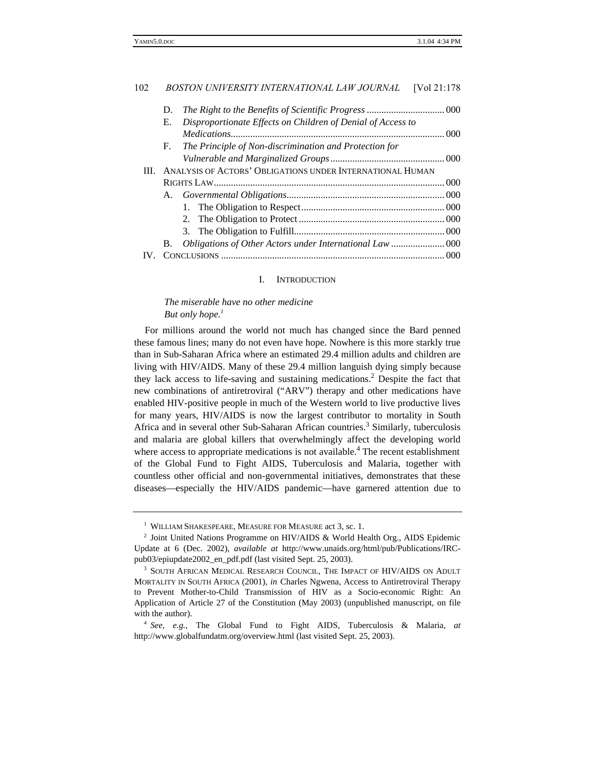| D.                                                                |                                                             |                                                          |  |  |
|-------------------------------------------------------------------|-------------------------------------------------------------|----------------------------------------------------------|--|--|
| Е.                                                                | Disproportionate Effects on Children of Denial of Access to |                                                          |  |  |
|                                                                   |                                                             |                                                          |  |  |
| F.                                                                | The Principle of Non-discrimination and Protection for      |                                                          |  |  |
|                                                                   |                                                             |                                                          |  |  |
| ANALYSIS OF ACTORS' OBLIGATIONS UNDER INTERNATIONAL HUMAN<br>III. |                                                             |                                                          |  |  |
|                                                                   |                                                             |                                                          |  |  |
|                                                                   |                                                             |                                                          |  |  |
|                                                                   |                                                             |                                                          |  |  |
|                                                                   |                                                             |                                                          |  |  |
|                                                                   |                                                             |                                                          |  |  |
| B.                                                                |                                                             |                                                          |  |  |
|                                                                   |                                                             |                                                          |  |  |
|                                                                   |                                                             | Obligations of Other Actors under International Law  000 |  |  |

#### I. INTRODUCTION

# *The miserable have no other medicine But only hope.<sup>1</sup>*

For millions around the world not much has changed since the Bard penned these famous lines; many do not even have hope. Nowhere is this more starkly true than in Sub-Saharan Africa where an estimated 29.4 million adults and children are living with HIV/AIDS. Many of these 29.4 million languish dying simply because they lack access to life-saving and sustaining medications.<sup>2</sup> Despite the fact that new combinations of antiretroviral ("ARV") therapy and other medications have enabled HIV-positive people in much of the Western world to live productive lives for many years, HIV/AIDS is now the largest contributor to mortality in South Africa and in several other Sub-Saharan African countries.<sup>3</sup> Similarly, tuberculosis and malaria are global killers that overwhelmingly affect the developing world where access to appropriate medications is not available.<sup>4</sup> The recent establishment of the Global Fund to Fight AIDS, Tuberculosis and Malaria, together with countless other official and non-governmental initiatives, demonstrates that these diseases—especially the HIV/AIDS pandemic—have garnered attention due to

 $^{\rm 1}$  WILLIAM SHAKESPEARE, MEASURE FOR MEASURE act 3, sc. 1.

<sup>&</sup>lt;sup>2</sup> Joint United Nations Programme on HIV/AIDS & World Health Org., AIDS Epidemic Update at 6 (Dec. 2002), *available at* http://www.unaids.org/html/pub/Publications/IRCpub03/epiupdate2002\_en\_pdf.pdf (last visited Sept. 25, 2003).

<sup>&</sup>lt;sup>3</sup> SOUTH AFRICAN MEDICAL RESEARCH COUNCIL, THE IMPACT OF HIV/AIDS ON ADULT MORTALITY IN SOUTH AFRICA (2001), *in* Charles Ngwena, Access to Antiretroviral Therapy to Prevent Mother-to-Child Transmission of HIV as a Socio-economic Right: An Application of Article 27 of the Constitution (May 2003) (unpublished manuscript, on file with the author).

<sup>4</sup> *See, e.g.,* The Global Fund to Fight AIDS, Tuberculosis & Malaria, *at* http://www.globalfundatm.org/overview.html (last visited Sept. 25, 2003).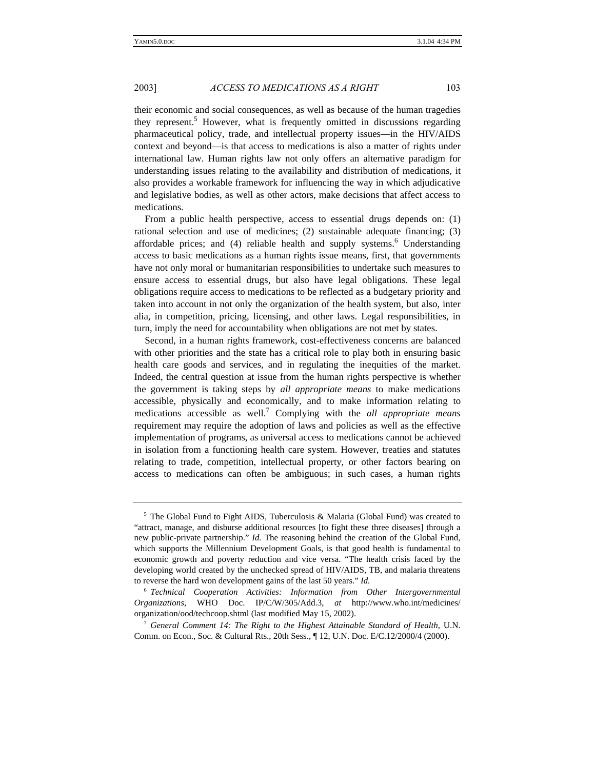their economic and social consequences, as well as because of the human tragedies they represent.<sup>5</sup> However, what is frequently omitted in discussions regarding pharmaceutical policy, trade, and intellectual property issues—in the HIV/AIDS context and beyond—is that access to medications is also a matter of rights under international law. Human rights law not only offers an alternative paradigm for understanding issues relating to the availability and distribution of medications, it also provides a workable framework for influencing the way in which adjudicative and legislative bodies, as well as other actors, make decisions that affect access to medications.

From a public health perspective, access to essential drugs depends on: (1) rational selection and use of medicines; (2) sustainable adequate financing; (3) affordable prices; and (4) reliable health and supply systems.<sup>6</sup> Understanding access to basic medications as a human rights issue means, first, that governments have not only moral or humanitarian responsibilities to undertake such measures to ensure access to essential drugs, but also have legal obligations. These legal obligations require access to medications to be reflected as a budgetary priority and taken into account in not only the organization of the health system, but also, inter alia, in competition, pricing, licensing, and other laws. Legal responsibilities, in turn, imply the need for accountability when obligations are not met by states.

Second, in a human rights framework, cost-effectiveness concerns are balanced with other priorities and the state has a critical role to play both in ensuring basic health care goods and services, and in regulating the inequities of the market. Indeed, the central question at issue from the human rights perspective is whether the government is taking steps by *all appropriate means* to make medications accessible, physically and economically, and to make information relating to medications accessible as well.<sup>7</sup> Complying with the *all appropriate means* requirement may require the adoption of laws and policies as well as the effective implementation of programs, as universal access to medications cannot be achieved in isolation from a functioning health care system. However, treaties and statutes relating to trade, competition, intellectual property, or other factors bearing on access to medications can often be ambiguous; in such cases, a human rights

<sup>5</sup> The Global Fund to Fight AIDS, Tuberculosis & Malaria (Global Fund) was created to "attract, manage, and disburse additional resources [to fight these three diseases] through a new public-private partnership." *Id.* The reasoning behind the creation of the Global Fund, which supports the Millennium Development Goals, is that good health is fundamental to economic growth and poverty reduction and vice versa. "The health crisis faced by the developing world created by the unchecked spread of HIV/AIDS, TB, and malaria threatens to reverse the hard won development gains of the last 50 years." *Id.*

<sup>6</sup> *Technical Cooperation Activities: Information from Other Intergovernmental Organizations,* WHO Doc. IP/C/W/305/Add.3, *at* http://www.who.int/medicines/ organization/ood/techcoop.shtml (last modified May 15, 2002).

<sup>7</sup> *General Comment 14: The Right to the Highest Attainable Standard of Health*, U.N. Comm. on Econ., Soc. & Cultural Rts., 20th Sess., ¶ 12, U.N. Doc. E/C.12/2000/4 (2000).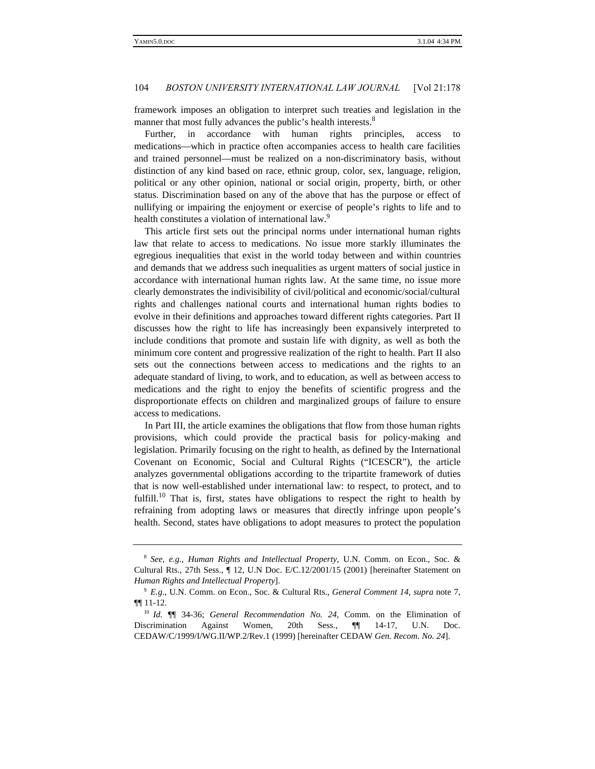framework imposes an obligation to interpret such treaties and legislation in the manner that most fully advances the public's health interests.<sup>8</sup>

Further, in accordance with human rights principles, access to medications—which in practice often accompanies access to health care facilities and trained personnel—must be realized on a non-discriminatory basis, without distinction of any kind based on race, ethnic group, color, sex, language, religion, political or any other opinion, national or social origin, property, birth, or other status. Discrimination based on any of the above that has the purpose or effect of nullifying or impairing the enjoyment or exercise of people's rights to life and to health constitutes a violation of international law.<sup>9</sup>

This article first sets out the principal norms under international human rights law that relate to access to medications. No issue more starkly illuminates the egregious inequalities that exist in the world today between and within countries and demands that we address such inequalities as urgent matters of social justice in accordance with international human rights law. At the same time, no issue more clearly demonstrates the indivisibility of civil/political and economic/social/cultural rights and challenges national courts and international human rights bodies to evolve in their definitions and approaches toward different rights categories. Part II discusses how the right to life has increasingly been expansively interpreted to include conditions that promote and sustain life with dignity, as well as both the minimum core content and progressive realization of the right to health. Part II also sets out the connections between access to medications and the rights to an adequate standard of living, to work, and to education, as well as between access to medications and the right to enjoy the benefits of scientific progress and the disproportionate effects on children and marginalized groups of failure to ensure access to medications.

In Part III, the article examines the obligations that flow from those human rights provisions, which could provide the practical basis for policy-making and legislation. Primarily focusing on the right to health, as defined by the International Covenant on Economic, Social and Cultural Rights ("ICESCR"), the article analyzes governmental obligations according to the tripartite framework of duties that is now well-established under international law: to respect, to protect, and to fulfill.<sup>10</sup> That is, first, states have obligations to respect the right to health by refraining from adopting laws or measures that directly infringe upon people's health. Second, states have obligations to adopt measures to protect the population

<sup>8</sup> *See, e.g., Human Rights and Intellectual Property,* U.N. Comm. on Econ., Soc. & Cultural Rts., 27th Sess., ¶ 12, U.N Doc. E/C.12/2001/15 (2001) [hereinafter Statement on *Human Rights and Intellectual Property*].

<sup>9</sup> *E.g*., U.N. Comm. on Econ., Soc. & Cultural Rts., *General Comment 14*, *supra* note 7, ¶¶ 11-12.

<sup>10</sup> *Id.* ¶¶ 34-36; *General Recommendation No. 24,* Comm. on the Elimination of Discrimination Against Women, 20th Sess., ¶¶ 14-17, U.N. Doc. CEDAW/C/1999/I/WG.II/WP.2/Rev.1 (1999) [hereinafter CEDAW *Gen. Recom. No. 24*].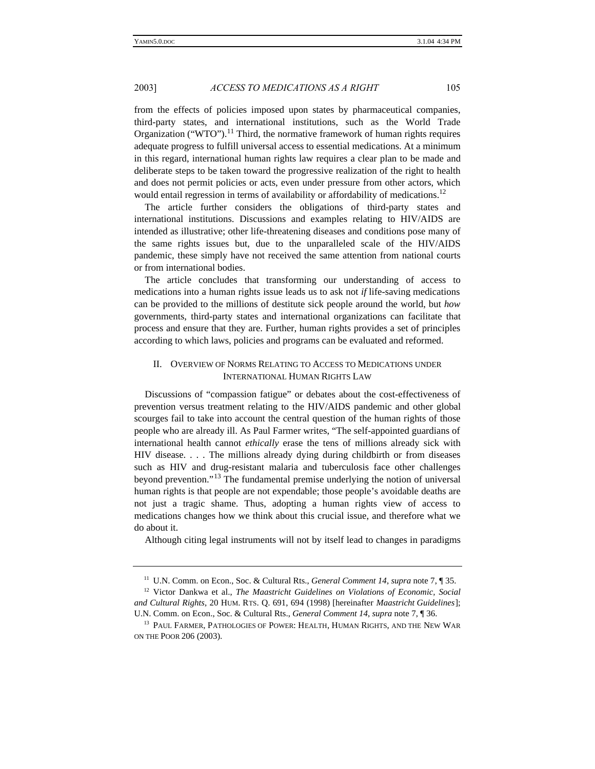from the effects of policies imposed upon states by pharmaceutical companies, third-party states, and international institutions, such as the World Trade Organization ("WTO").<sup>11</sup> Third, the normative framework of human rights requires adequate progress to fulfill universal access to essential medications. At a minimum in this regard, international human rights law requires a clear plan to be made and deliberate steps to be taken toward the progressive realization of the right to health and does not permit policies or acts, even under pressure from other actors, which would entail regression in terms of availability or affordability of medications.<sup>12</sup>

The article further considers the obligations of third-party states and international institutions. Discussions and examples relating to HIV/AIDS are intended as illustrative; other life-threatening diseases and conditions pose many of the same rights issues but, due to the unparalleled scale of the HIV/AIDS pandemic, these simply have not received the same attention from national courts or from international bodies.

The article concludes that transforming our understanding of access to medications into a human rights issue leads us to ask not *if* life-saving medications can be provided to the millions of destitute sick people around the world, but *how* governments, third-party states and international organizations can facilitate that process and ensure that they are. Further, human rights provides a set of principles according to which laws, policies and programs can be evaluated and reformed.

# II. OVERVIEW OF NORMS RELATING TO ACCESS TO MEDICATIONS UNDER INTERNATIONAL HUMAN RIGHTS LAW

Discussions of "compassion fatigue" or debates about the cost-effectiveness of prevention versus treatment relating to the HIV/AIDS pandemic and other global scourges fail to take into account the central question of the human rights of those people who are already ill. As Paul Farmer writes, "The self-appointed guardians of international health cannot *ethically* erase the tens of millions already sick with HIV disease. . . . The millions already dying during childbirth or from diseases such as HIV and drug-resistant malaria and tuberculosis face other challenges beyond prevention."<sup>13</sup> The fundamental premise underlying the notion of universal human rights is that people are not expendable; those people's avoidable deaths are not just a tragic shame. Thus, adopting a human rights view of access to medications changes how we think about this crucial issue, and therefore what we do about it.

Although citing legal instruments will not by itself lead to changes in paradigms

<sup>11</sup> U.N. Comm. on Econ., Soc. & Cultural Rts., *General Comment 14*, *supra* note 7, ¶ 35.

<sup>12</sup> Victor Dankwa et al., *The Maastricht Guidelines on Violations of Economic, Social and Cultural Rights*, 20 HUM. RTS. Q. 691, 694 (1998) [hereinafter *Maastricht Guidelines*]; U.N. Comm. on Econ., Soc. & Cultural Rts., *General Comment 14*, *supra* note 7, ¶ 36.

<sup>&</sup>lt;sup>13</sup> PAUL FARMER, PATHOLOGIES OF POWER: HEALTH, HUMAN RIGHTS, AND THE NEW WAR ON THE POOR 206 (2003).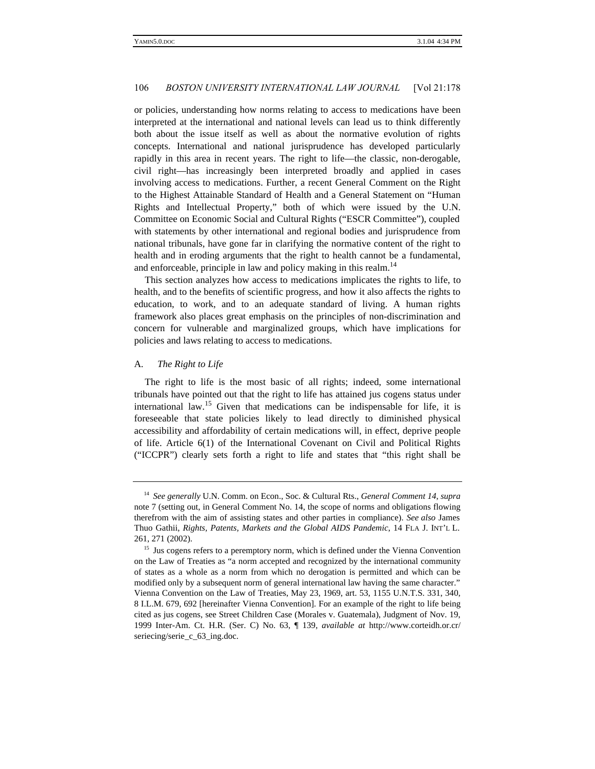or policies, understanding how norms relating to access to medications have been interpreted at the international and national levels can lead us to think differently both about the issue itself as well as about the normative evolution of rights concepts. International and national jurisprudence has developed particularly rapidly in this area in recent years. The right to life—the classic, non-derogable, civil right—has increasingly been interpreted broadly and applied in cases involving access to medications. Further, a recent General Comment on the Right to the Highest Attainable Standard of Health and a General Statement on "Human Rights and Intellectual Property," both of which were issued by the U.N. Committee on Economic Social and Cultural Rights ("ESCR Committee"), coupled with statements by other international and regional bodies and jurisprudence from national tribunals, have gone far in clarifying the normative content of the right to health and in eroding arguments that the right to health cannot be a fundamental, and enforceable, principle in law and policy making in this realm.<sup>14</sup>

This section analyzes how access to medications implicates the rights to life, to health, and to the benefits of scientific progress, and how it also affects the rights to education, to work, and to an adequate standard of living. A human rights framework also places great emphasis on the principles of non-discrimination and concern for vulnerable and marginalized groups, which have implications for policies and laws relating to access to medications.

# A*. The Right to Life*

The right to life is the most basic of all rights; indeed, some international tribunals have pointed out that the right to life has attained jus cogens status under international law.<sup>15</sup> Given that medications can be indispensable for life, it is foreseeable that state policies likely to lead directly to diminished physical accessibility and affordability of certain medications will, in effect, deprive people of life. Article 6(1) of the International Covenant on Civil and Political Rights ("ICCPR") clearly sets forth a right to life and states that "this right shall be

<sup>14</sup> *See generally* U.N. Comm. on Econ., Soc. & Cultural Rts., *General Comment 14*, *supra* note 7 (setting out, in General Comment No. 14, the scope of norms and obligations flowing therefrom with the aim of assisting states and other parties in compliance). *See also* James Thuo Gathii, *Rights, Patents, Markets and the Global AIDS Pandemic*, 14 FLA J. INT'L L. 261, 271 (2002).

<sup>&</sup>lt;sup>15</sup> Jus cogens refers to a peremptory norm, which is defined under the Vienna Convention on the Law of Treaties as "a norm accepted and recognized by the international community of states as a whole as a norm from which no derogation is permitted and which can be modified only by a subsequent norm of general international law having the same character." Vienna Convention on the Law of Treaties, May 23, 1969, art. 53, 1155 U.N.T.S. 331, 340, 8 I.L.M. 679, 692 [hereinafter Vienna Convention]. For an example of the right to life being cited as jus cogens, see Street Children Case (Morales v. Guatemala), Judgment of Nov. 19, 1999 Inter-Am. Ct. H.R. (Ser. C) No. 63, ¶ 139, *available at* http://www.corteidh.or.cr/ seriecing/serie\_c\_63\_ing.doc.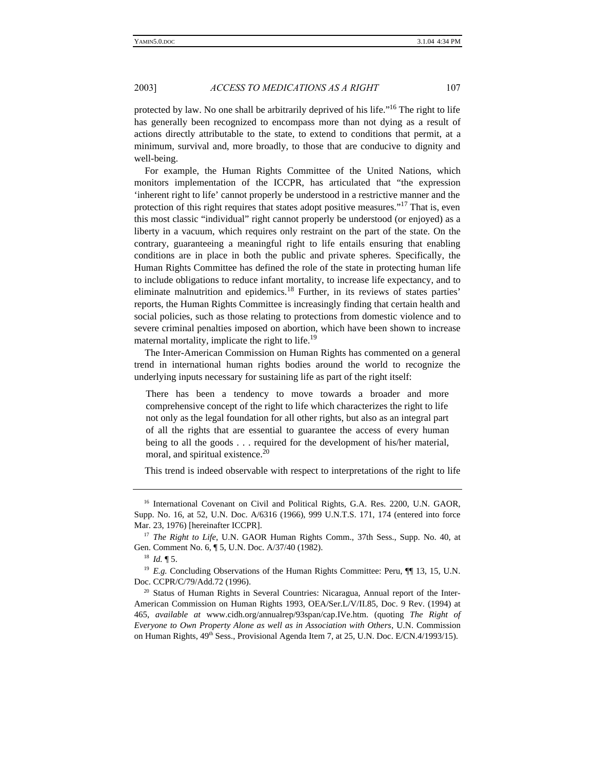protected by law. No one shall be arbitrarily deprived of his life."<sup>16</sup> The right to life has generally been recognized to encompass more than not dying as a result of actions directly attributable to the state, to extend to conditions that permit, at a minimum, survival and, more broadly, to those that are conducive to dignity and well-being.

For example, the Human Rights Committee of the United Nations, which monitors implementation of the ICCPR, has articulated that "the expression 'inherent right to life' cannot properly be understood in a restrictive manner and the protection of this right requires that states adopt positive measures."<sup>17</sup> That is, even this most classic "individual" right cannot properly be understood (or enjoyed) as a liberty in a vacuum, which requires only restraint on the part of the state. On the contrary, guaranteeing a meaningful right to life entails ensuring that enabling conditions are in place in both the public and private spheres. Specifically, the Human Rights Committee has defined the role of the state in protecting human life to include obligations to reduce infant mortality, to increase life expectancy, and to eliminate malnutrition and epidemics.<sup>18</sup> Further, in its reviews of states parties' reports, the Human Rights Committee is increasingly finding that certain health and social policies, such as those relating to protections from domestic violence and to severe criminal penalties imposed on abortion, which have been shown to increase maternal mortality, implicate the right to life.<sup>19</sup>

The Inter-American Commission on Human Rights has commented on a general trend in international human rights bodies around the world to recognize the underlying inputs necessary for sustaining life as part of the right itself:

There has been a tendency to move towards a broader and more comprehensive concept of the right to life which characterizes the right to life not only as the legal foundation for all other rights, but also as an integral part of all the rights that are essential to guarantee the access of every human being to all the goods . . . required for the development of his/her material, moral, and spiritual existence.<sup>20</sup>

This trend is indeed observable with respect to interpretations of the right to life

<sup>&</sup>lt;sup>16</sup> International Covenant on Civil and Political Rights, G.A. Res. 2200, U.N. GAOR, Supp. No. 16, at 52, U.N. Doc. A/6316 (1966), 999 U.N.T.S. 171, 174 (entered into force Mar. 23, 1976) [hereinafter ICCPR].

<sup>&</sup>lt;sup>17</sup> *The Right to Life*, U.N. GAOR Human Rights Comm., 37th Sess., Supp. No. 40, at Gen. Comment No. 6, ¶ 5, U.N. Doc. A/37/40 (1982).

<sup>18</sup> *Id.* ¶ 5.

<sup>&</sup>lt;sup>19</sup> *E.g.* Concluding Observations of the Human Rights Committee: Peru,  $\P$  13, 15, U.N. Doc. CCPR/C/79/Add.72 (1996).

<sup>&</sup>lt;sup>20</sup> Status of Human Rights in Several Countries: Nicaragua, Annual report of the Inter-American Commission on Human Rights 1993, OEA/Ser.L/V/II.85, Doc. 9 Rev. (1994) at 465, *available at* www.cidh.org/annualrep/93span/cap.IVe.htm. (quoting *The Right of Everyone to Own Property Alone as well as in Association with Others*, U.N. Commission on Human Rights,  $49<sup>th</sup>$  Sess., Provisional Agenda Item 7, at 25, U.N. Doc. E/CN.4/1993/15).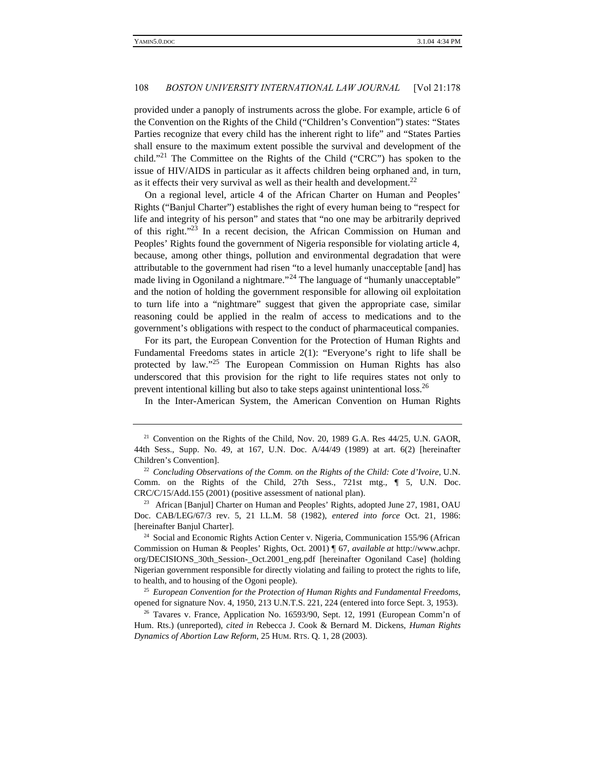provided under a panoply of instruments across the globe. For example, article 6 of the Convention on the Rights of the Child ("Children's Convention") states: "States Parties recognize that every child has the inherent right to life" and "States Parties shall ensure to the maximum extent possible the survival and development of the child."<sup>21</sup> The Committee on the Rights of the Child ("CRC") has spoken to the issue of HIV/AIDS in particular as it affects children being orphaned and, in turn, as it effects their very survival as well as their health and development. $^{22}$ 

On a regional level, article 4 of the African Charter on Human and Peoples' Rights ("Banjul Charter") establishes the right of every human being to "respect for life and integrity of his person" and states that "no one may be arbitrarily deprived of this right."<sup>23</sup> In a recent decision, the African Commission on Human and Peoples' Rights found the government of Nigeria responsible for violating article 4, because, among other things, pollution and environmental degradation that were attributable to the government had risen "to a level humanly unacceptable [and] has made living in Ogoniland a nightmare."<sup>24</sup> The language of "humanly unacceptable" and the notion of holding the government responsible for allowing oil exploitation to turn life into a "nightmare" suggest that given the appropriate case, similar reasoning could be applied in the realm of access to medications and to the government's obligations with respect to the conduct of pharmaceutical companies.

For its part, the European Convention for the Protection of Human Rights and Fundamental Freedoms states in article 2(1): "Everyone's right to life shall be protected by law."<sup>25</sup> The European Commission on Human Rights has also underscored that this provision for the right to life requires states not only to prevent intentional killing but also to take steps against unintentional loss.<sup>26</sup>

In the Inter-American System, the American Convention on Human Rights

<sup>24</sup> Social and Economic Rights Action Center v. Nigeria, Communication 155/96 (African Commission on Human & Peoples' Rights, Oct. 2001) ¶ 67, *available at* http://www.achpr. org/DECISIONS\_30th\_Session-\_Oct.2001\_eng.pdf [hereinafter Ogoniland Case] (holding Nigerian government responsible for directly violating and failing to protect the rights to life, to health, and to housing of the Ogoni people).

 $21$  Convention on the Rights of the Child, Nov. 20, 1989 G.A. Res 44/25, U.N. GAOR, 44th Sess., Supp. No. 49, at 167, U.N. Doc. A/44/49 (1989) at art. 6(2) [hereinafter Children's Convention].

<sup>22</sup> *Concluding Observations of the Comm. on the Rights of the Child: Cote d'Ivoire*, U.N. Comm. on the Rights of the Child, 27th Sess., 721st mtg., ¶ 5, U.N. Doc. CRC/C/15/Add.155 (2001) (positive assessment of national plan).

<sup>&</sup>lt;sup>23</sup> African [Banjul] Charter on Human and Peoples' Rights, adopted June 27, 1981, OAU Doc. CAB/LEG/67/3 rev. 5, 21 I.L.M. 58 (1982), *entered into force* Oct. 21, 1986: [hereinafter Banjul Charter].

<sup>25</sup> *European Convention for the Protection of Human Rights and Fundamental Freedoms*, opened for signature Nov. 4, 1950, 213 U.N.T.S. 221, 224 (entered into force Sept. 3, 1953).

<sup>&</sup>lt;sup>26</sup> Tavares v. France, Application No. 16593/90, Sept. 12, 1991 (European Comm'n of Hum. Rts.) (unreported), *cited in* Rebecca J. Cook & Bernard M. Dickens, *Human Rights Dynamics of Abortion Law Reform*, 25 HUM. RTS. Q. 1, 28 (2003).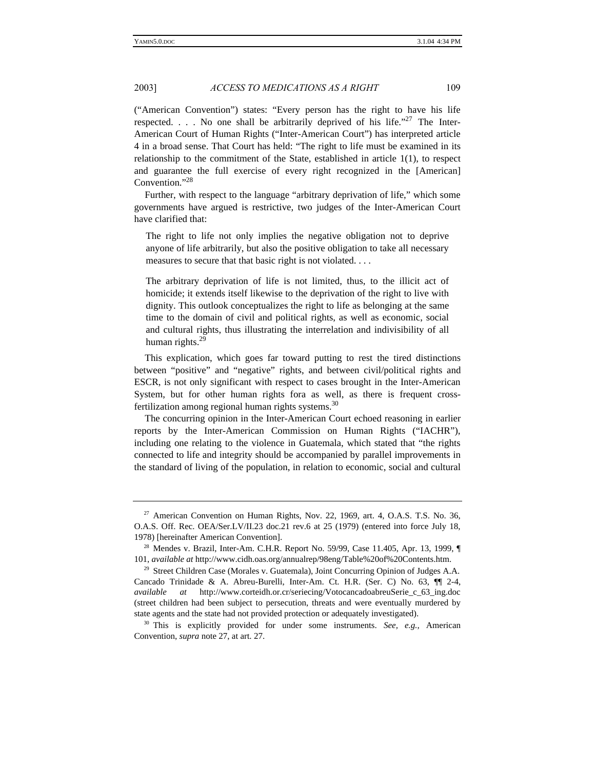("American Convention") states: "Every person has the right to have his life respected.  $\ldots$  No one shall be arbitrarily deprived of his life."<sup>27</sup> The Inter-American Court of Human Rights ("Inter-American Court") has interpreted article 4 in a broad sense. That Court has held: "The right to life must be examined in its relationship to the commitment of the State, established in article 1(1), to respect and guarantee the full exercise of every right recognized in the [American] Convention."<sup>28</sup>

Further, with respect to the language "arbitrary deprivation of life," which some governments have argued is restrictive, two judges of the Inter-American Court have clarified that:

The right to life not only implies the negative obligation not to deprive anyone of life arbitrarily, but also the positive obligation to take all necessary measures to secure that that basic right is not violated. . . .

The arbitrary deprivation of life is not limited, thus, to the illicit act of homicide; it extends itself likewise to the deprivation of the right to live with dignity. This outlook conceptualizes the right to life as belonging at the same time to the domain of civil and political rights, as well as economic, social and cultural rights, thus illustrating the interrelation and indivisibility of all human rights.<sup>29</sup>

This explication, which goes far toward putting to rest the tired distinctions between "positive" and "negative" rights, and between civil/political rights and ESCR, is not only significant with respect to cases brought in the Inter-American System, but for other human rights fora as well, as there is frequent crossfertilization among regional human rights systems. $30$ 

The concurring opinion in the Inter-American Court echoed reasoning in earlier reports by the Inter-American Commission on Human Rights ("IACHR"), including one relating to the violence in Guatemala, which stated that "the rights connected to life and integrity should be accompanied by parallel improvements in the standard of living of the population, in relation to economic, social and cultural

 $27$  American Convention on Human Rights, Nov. 22, 1969, art. 4, O.A.S. T.S. No. 36, O.A.S. Off. Rec. OEA/Ser.LV/II.23 doc.21 rev.6 at 25 (1979) (entered into force July 18, 1978) [hereinafter American Convention].

<sup>28</sup> Mendes v. Brazil, Inter-Am. C.H.R. Report No. 59/99, Case 11.405, Apr. 13, 1999, ¶ 101, *available at* http://www.cidh.oas.org/annualrep/98eng/Table%20of%20Contents.htm.

<sup>&</sup>lt;sup>29</sup> Street Children Case (Morales v. Guatemala), Joint Concurring Opinion of Judges A.A. Cancado Trinidade & A. Abreu-Burelli, Inter-Am. Ct. H.R. (Ser. C) No. 63, ¶¶ 2-4, *available at* http://www.corteidh.or.cr/seriecing/VotocancadoabreuSerie\_c\_63\_ing.doc (street children had been subject to persecution, threats and were eventually murdered by state agents and the state had not provided protection or adequately investigated).

<sup>&</sup>lt;sup>30</sup> This is explicitly provided for under some instruments. See, e.g., American Convention, *supra* note 27, at art. 27.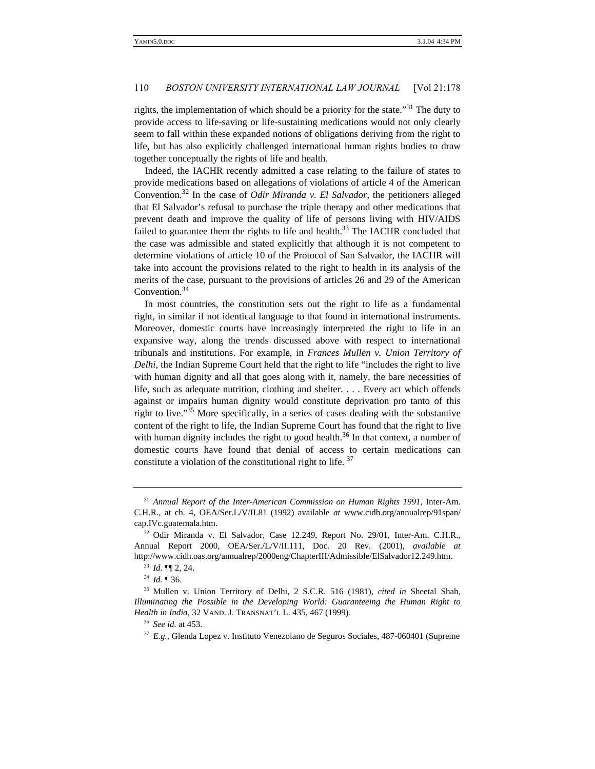rights, the implementation of which should be a priority for the state.<sup>31</sup> The duty to provide access to life-saving or life-sustaining medications would not only clearly seem to fall within these expanded notions of obligations deriving from the right to life, but has also explicitly challenged international human rights bodies to draw together conceptually the rights of life and health.

Indeed, the IACHR recently admitted a case relating to the failure of states to provide medications based on allegations of violations of article 4 of the American Convention.<sup>32</sup> In the case of *Odir Miranda v. El Salvador*, the petitioners alleged that El Salvador's refusal to purchase the triple therapy and other medications that prevent death and improve the quality of life of persons living with HIV/AIDS failed to guarantee them the rights to life and health.<sup>33</sup> The IACHR concluded that the case was admissible and stated explicitly that although it is not competent to determine violations of article 10 of the Protocol of San Salvador, the IACHR will take into account the provisions related to the right to health in its analysis of the merits of the case, pursuant to the provisions of articles 26 and 29 of the American Convention.<sup>34</sup>

In most countries, the constitution sets out the right to life as a fundamental right, in similar if not identical language to that found in international instruments. Moreover, domestic courts have increasingly interpreted the right to life in an expansive way, along the trends discussed above with respect to international tribunals and institutions. For example, in *Frances Mullen v. Union Territory of Delhi*, the Indian Supreme Court held that the right to life "includes the right to live with human dignity and all that goes along with it, namely, the bare necessities of life, such as adequate nutrition, clothing and shelter. . . . Every act which offends against or impairs human dignity would constitute deprivation pro tanto of this right to live."<sup>35</sup> More specifically, in a series of cases dealing with the substantive content of the right to life, the Indian Supreme Court has found that the right to live with human dignity includes the right to good health.<sup>36</sup> In that context, a number of domestic courts have found that denial of access to certain medications can constitute a violation of the constitutional right to life. <sup>37</sup>

<sup>31</sup> *Annual Report of the Inter-American Commission on Human Rights 1991*, Inter-Am. C.H.R., at ch. 4, OEA/Ser.L/V/II.81 (1992) available *at* www.cidh.org/annualrep/91span/ cap.IVc.guatemala.htm.

<sup>32</sup> Odir Miranda v. El Salvador, Case 12.249, Report No. 29/01, Inter-Am. C.H.R., Annual Report 2000, OEA/Ser./L/V/II.111, Doc. 20 Rev. (2001), *available at* http://www.cidh.oas.org/annualrep/2000eng/ChapterIII/Admissible/ElSalvador12.249.htm.

<sup>33</sup> *Id*. ¶¶ 2, 24.

<sup>34</sup> *Id.* ¶ 36.

<sup>35</sup> Mullen v. Union Territory of Delhi, 2 S.C.R. 516 (1981), *cited in* Sheetal Shah, *Illuminating the Possible in the Developing World: Guaranteeing the Human Right to Health in India*, 32 VAND. J. TRANSNAT'L L. 435, 467 (1999).

<sup>36</sup> *See id.* at 453.

<sup>37</sup> *E.g.,* Glenda Lopez v. Instituto Venezolano de Seguros Sociales, 487-060401 (Supreme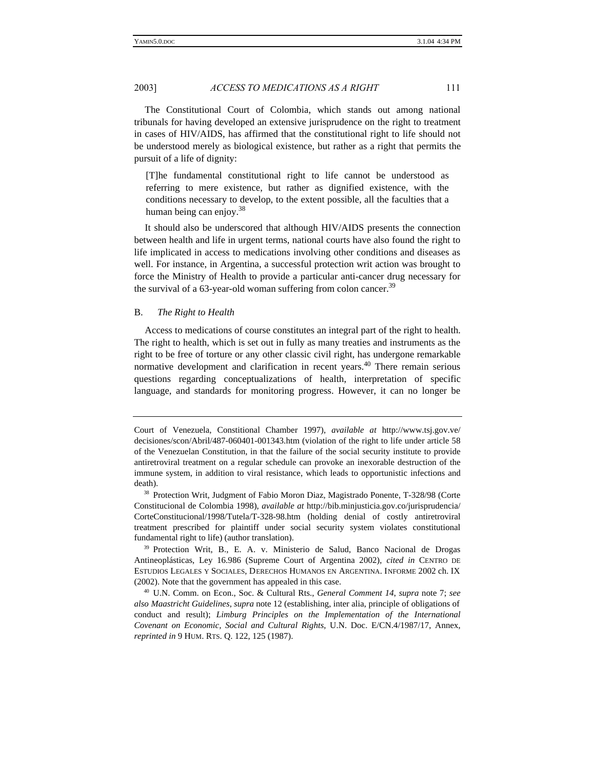The Constitutional Court of Colombia, which stands out among national tribunals for having developed an extensive jurisprudence on the right to treatment in cases of HIV/AIDS, has affirmed that the constitutional right to life should not be understood merely as biological existence, but rather as a right that permits the pursuit of a life of dignity:

[T]he fundamental constitutional right to life cannot be understood as referring to mere existence, but rather as dignified existence, with the conditions necessary to develop, to the extent possible, all the faculties that a human being can enjoy.<sup>38</sup>

It should also be underscored that although HIV/AIDS presents the connection between health and life in urgent terms, national courts have also found the right to life implicated in access to medications involving other conditions and diseases as well. For instance, in Argentina, a successful protection writ action was brought to force the Ministry of Health to provide a particular anti-cancer drug necessary for the survival of a 63-year-old woman suffering from colon cancer.<sup>39</sup>

#### B. *The Right to Health*

Access to medications of course constitutes an integral part of the right to health. The right to health, which is set out in fully as many treaties and instruments as the right to be free of torture or any other classic civil right, has undergone remarkable normative development and clarification in recent years.<sup>40</sup> There remain serious questions regarding conceptualizations of health, interpretation of specific language, and standards for monitoring progress. However, it can no longer be

Court of Venezuela, Constitional Chamber 1997), *available at* http://www.tsj.gov.ve/ decisiones/scon/Abril/487-060401-001343.htm (violation of the right to life under article 58 of the Venezuelan Constitution, in that the failure of the social security institute to provide antiretroviral treatment on a regular schedule can provoke an inexorable destruction of the immune system, in addition to viral resistance, which leads to opportunistic infections and death).

<sup>38</sup> Protection Writ, Judgment of Fabio Moron Diaz, Magistrado Ponente, T-328/98 (Corte Constitucional de Colombia 1998), *available at* http://bib.minjusticia.gov.co/jurisprudencia/ CorteConstitucional/1998/Tutela/T-328-98.htm (holding denial of costly antiretroviral treatment prescribed for plaintiff under social security system violates constitutional fundamental right to life) (author translation).

<sup>&</sup>lt;sup>39</sup> Protection Writ, B., E. A. v. Ministerio de Salud, Banco Nacional de Drogas Antineoplásticas, Ley 16.986 (Supreme Court of Argentina 2002), *cited in* CENTRO DE ESTUDIOS LEGALES Y SOCIALES, DERECHOS HUMANOS EN ARGENTINA. INFORME 2002 ch. IX (2002). Note that the government has appealed in this case.

<sup>40</sup> U.N. Comm. on Econ., Soc. & Cultural Rts., *General Comment 14*, *supra* note 7; *see also Maastricht Guidelines*, *supra* note 12 (establishing, inter alia, principle of obligations of conduct and result); *Limburg Principles on the Implementation of the International Covenant on Economic, Social and Cultural Rights*, U.N. Doc. E/CN.4/1987/17, Annex, *reprinted in* 9 HUM. RTS. Q. 122, 125 (1987).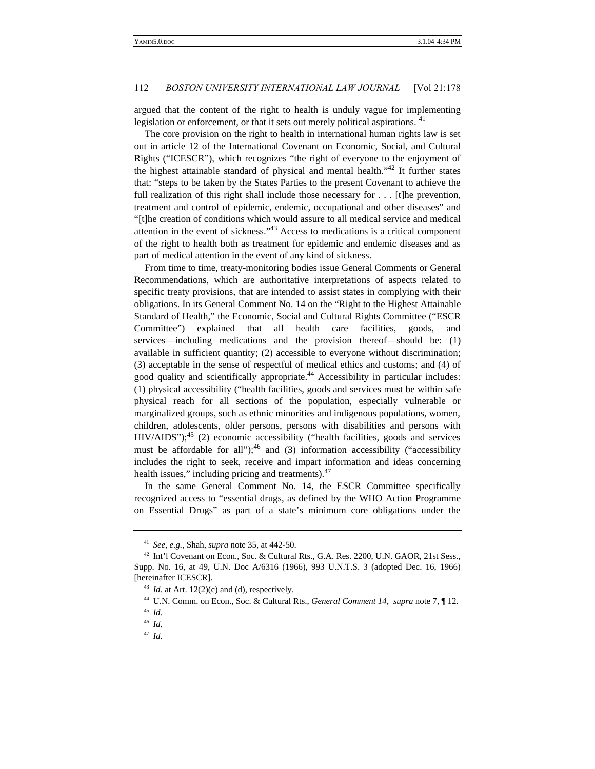argued that the content of the right to health is unduly vague for implementing legislation or enforcement, or that it sets out merely political aspirations. <sup>41</sup>

The core provision on the right to health in international human rights law is set out in article 12 of the International Covenant on Economic, Social, and Cultural Rights ("ICESCR"), which recognizes "the right of everyone to the enjoyment of the highest attainable standard of physical and mental health."<sup>42</sup> It further states that: "steps to be taken by the States Parties to the present Covenant to achieve the full realization of this right shall include those necessary for . . . [t]he prevention, treatment and control of epidemic, endemic, occupational and other diseases" and "[t]he creation of conditions which would assure to all medical service and medical attention in the event of sickness."<sup>43</sup> Access to medications is a critical component of the right to health both as treatment for epidemic and endemic diseases and as part of medical attention in the event of any kind of sickness.

From time to time, treaty-monitoring bodies issue General Comments or General Recommendations, which are authoritative interpretations of aspects related to specific treaty provisions, that are intended to assist states in complying with their obligations. In its General Comment No. 14 on the "Right to the Highest Attainable Standard of Health," the Economic, Social and Cultural Rights Committee ("ESCR Committee") explained that all health care facilities, goods, and services—including medications and the provision thereof—should be: (1) available in sufficient quantity; (2) accessible to everyone without discrimination; (3) acceptable in the sense of respectful of medical ethics and customs; and (4) of good quality and scientifically appropriate.<sup>44</sup> Accessibility in particular includes: (1) physical accessibility ("health facilities, goods and services must be within safe physical reach for all sections of the population, especially vulnerable or marginalized groups, such as ethnic minorities and indigenous populations, women, children, adolescents, older persons, persons with disabilities and persons with  $HIV/ALDS$ "); $^{45}$  (2) economic accessibility ("health facilities, goods and services must be affordable for all");<sup>46</sup> and (3) information accessibility ("accessibility includes the right to seek, receive and impart information and ideas concerning health issues," including pricing and treatments).<sup>47</sup>

In the same General Comment No. 14, the ESCR Committee specifically recognized access to "essential drugs, as defined by the WHO Action Programme on Essential Drugs" as part of a state's minimum core obligations under the

<sup>41</sup> *See, e.g.,* Shah, *supra* note 35, at 442-50.

<sup>42</sup> Int'l Covenant on Econ., Soc. & Cultural Rts., G.A. Res. 2200, U.N. GAOR, 21st Sess., Supp. No. 16, at 49, U.N. Doc A/6316 (1966), 993 U.N.T.S. 3 (adopted Dec. 16, 1966) [hereinafter ICESCR].

 $^{43}$  *Id.* at Art. 12(2)(c) and (d), respectively.

<sup>44</sup> U.N. Comm. on Econ., Soc. & Cultural Rts., *General Comment 14*, *supra* note 7, ¶ 12.

<sup>45</sup> *Id.*

<sup>46</sup> *Id.*

<sup>47</sup> *Id.*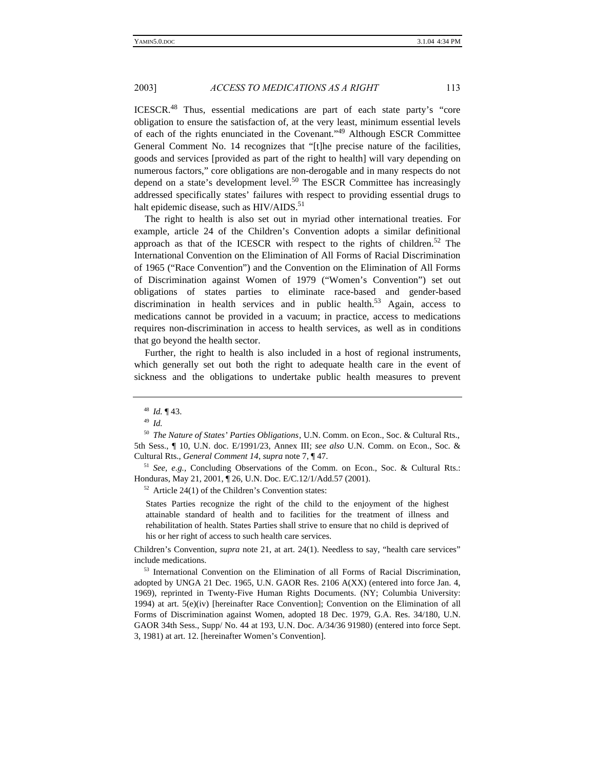ICESCR.<sup>48</sup> Thus, essential medications are part of each state party's "core obligation to ensure the satisfaction of, at the very least, minimum essential levels of each of the rights enunciated in the Covenant."<sup>49</sup> Although ESCR Committee General Comment No. 14 recognizes that "[t]he precise nature of the facilities, goods and services [provided as part of the right to health] will vary depending on numerous factors," core obligations are non-derogable and in many respects do not depend on a state's development level.<sup>50</sup> The ESCR Committee has increasingly addressed specifically states' failures with respect to providing essential drugs to halt epidemic disease, such as HIV/AIDS.<sup>51</sup>

The right to health is also set out in myriad other international treaties. For example, article 24 of the Children's Convention adopts a similar definitional approach as that of the ICESCR with respect to the rights of children.<sup>52</sup> The International Convention on the Elimination of All Forms of Racial Discrimination of 1965 ("Race Convention") and the Convention on the Elimination of All Forms of Discrimination against Women of 1979 ("Women's Convention") set out obligations of states parties to eliminate race-based and gender-based discrimination in health services and in public health.<sup>53</sup> Again, access to medications cannot be provided in a vacuum; in practice, access to medications requires non-discrimination in access to health services, as well as in conditions that go beyond the health sector.

Further, the right to health is also included in a host of regional instruments, which generally set out both the right to adequate health care in the event of sickness and the obligations to undertake public health measures to prevent

<sup>51</sup> *See, e.g.,* Concluding Observations of the Comm. on Econ., Soc. & Cultural Rts.: Honduras, May 21, 2001, ¶ 26, U.N. Doc. E/C.12/1/Add.57 (2001).

 $52$  Article 24(1) of the Children's Convention states:

States Parties recognize the right of the child to the enjoyment of the highest attainable standard of health and to facilities for the treatment of illness and rehabilitation of health. States Parties shall strive to ensure that no child is deprived of his or her right of access to such health care services.

Children's Convention, *supra* note 21, at art. 24(1). Needless to say, "health care services" include medications.

<sup>53</sup> International Convention on the Elimination of all Forms of Racial Discrimination, adopted by UNGA 21 Dec. 1965, U.N. GAOR Res. 2106 A(XX) (entered into force Jan. 4, 1969), reprinted in Twenty-Five Human Rights Documents. (NY; Columbia University: 1994) at art. 5(e)(iv) [hereinafter Race Convention]; Convention on the Elimination of all Forms of Discrimination against Women, adopted 18 Dec. 1979, G.A. Res. 34/180, U.N. GAOR 34th Sess., Supp/ No. 44 at 193, U.N. Doc. A/34/36 91980) (entered into force Sept. 3, 1981) at art. 12. [hereinafter Women's Convention].

<sup>48</sup> *Id.* ¶ 43.

<sup>49</sup> *Id.*

<sup>50</sup> *The Nature of States' Parties Obligations*, U.N. Comm. on Econ., Soc. & Cultural Rts., 5th Sess., ¶ 10, U.N. doc. E/1991/23, Annex III; *see also* U.N. Comm. on Econ., Soc. & Cultural Rts., *General Comment 14*, *supra* note 7, ¶ 47.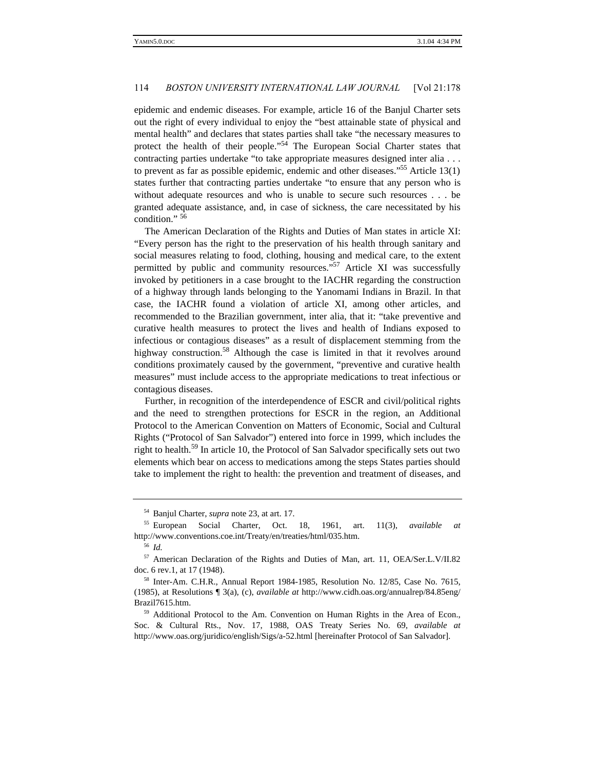epidemic and endemic diseases. For example, article 16 of the Banjul Charter sets out the right of every individual to enjoy the "best attainable state of physical and mental health" and declares that states parties shall take "the necessary measures to protect the health of their people."<sup>54</sup> The European Social Charter states that contracting parties undertake "to take appropriate measures designed inter alia . . . to prevent as far as possible epidemic, endemic and other diseases."<sup>55</sup> Article 13(1) states further that contracting parties undertake "to ensure that any person who is without adequate resources and who is unable to secure such resources . . . be granted adequate assistance, and, in case of sickness, the care necessitated by his condition." <sup>56</sup>

The American Declaration of the Rights and Duties of Man states in article XI: "Every person has the right to the preservation of his health through sanitary and social measures relating to food, clothing, housing and medical care, to the extent permitted by public and community resources."<sup>57</sup> Article XI was successfully invoked by petitioners in a case brought to the IACHR regarding the construction of a highway through lands belonging to the Yanomami Indians in Brazil. In that case, the IACHR found a violation of article XI, among other articles, and recommended to the Brazilian government, inter alia, that it: "take preventive and curative health measures to protect the lives and health of Indians exposed to infectious or contagious diseases" as a result of displacement stemming from the highway construction.<sup>58</sup> Although the case is limited in that it revolves around conditions proximately caused by the government, "preventive and curative health measures" must include access to the appropriate medications to treat infectious or contagious diseases.

Further, in recognition of the interdependence of ESCR and civil/political rights and the need to strengthen protections for ESCR in the region, an Additional Protocol to the American Convention on Matters of Economic, Social and Cultural Rights ("Protocol of San Salvador") entered into force in 1999, which includes the right to health.<sup>59</sup> In article 10, the Protocol of San Salvador specifically sets out two elements which bear on access to medications among the steps States parties should take to implement the right to health: the prevention and treatment of diseases, and

<sup>54</sup> Banjul Charter, *supra* note 23, at art. 17.

<sup>55</sup> European Social Charter, Oct. 18, 1961, art. 11(3), *available at* http://www.conventions.coe.int/Treaty/en/treaties/html/035.htm.

<sup>56</sup> *Id.*

<sup>57</sup> American Declaration of the Rights and Duties of Man, art. 11, OEA/Ser.L.V/II.82 doc. 6 rev.1, at 17 (1948).

<sup>58</sup> Inter-Am. C.H.R., Annual Report 1984-1985, Resolution No. 12/85, Case No. 7615, (1985), at Resolutions ¶ 3(a), (c), *available at* http://www.cidh.oas.org/annualrep/84.85eng/ Brazil7615.htm.

<sup>&</sup>lt;sup>59</sup> Additional Protocol to the Am. Convention on Human Rights in the Area of Econ., Soc. & Cultural Rts., Nov. 17, 1988, OAS Treaty Series No. 69, *available at* http://www.oas.org/juridico/english/Sigs/a-52.html [hereinafter Protocol of San Salvador].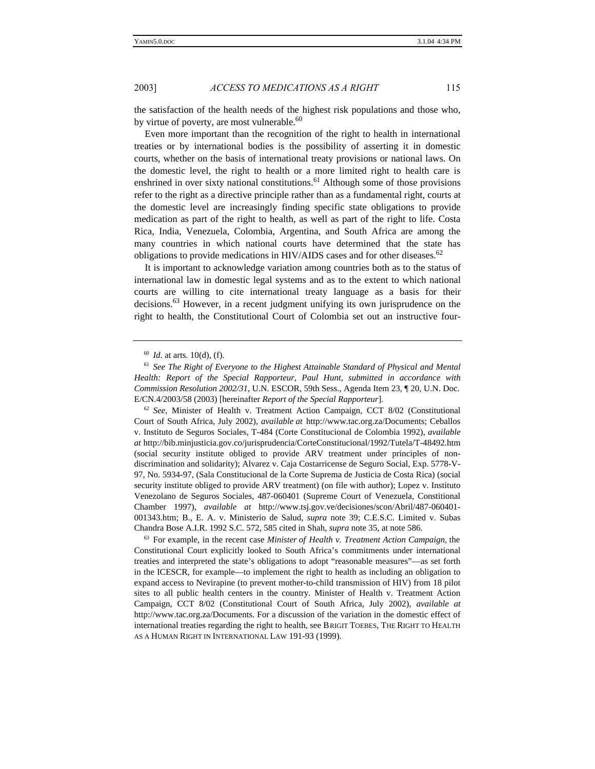the satisfaction of the health needs of the highest risk populations and those who, by virtue of poverty, are most vulnerable.<sup>60</sup>

Even more important than the recognition of the right to health in international treaties or by international bodies is the possibility of asserting it in domestic courts, whether on the basis of international treaty provisions or national laws. On the domestic level, the right to health or a more limited right to health care is enshrined in over sixty national constitutions.<sup>61</sup> Although some of those provisions refer to the right as a directive principle rather than as a fundamental right, courts at the domestic level are increasingly finding specific state obligations to provide medication as part of the right to health, as well as part of the right to life. Costa Rica, India, Venezuela, Colombia, Argentina, and South Africa are among the many countries in which national courts have determined that the state has obligations to provide medications in HIV/AIDS cases and for other diseases.<sup>62</sup>

It is important to acknowledge variation among countries both as to the status of international law in domestic legal systems and as to the extent to which national courts are willing to cite international treaty language as a basis for their decisions.<sup>63</sup> However, in a recent judgment unifying its own jurisprudence on the right to health, the Constitutional Court of Colombia set out an instructive four-

<sup>60</sup> *Id*. at arts. 10(d), (f).

<sup>61</sup> *See The Right of Everyone to the Highest Attainable Standard of Physical and Mental Health: Report of the Special Rapporteur, Paul Hunt, submitted in accordance with Commission Resolution 2002/31*, U.N. ESCOR, 59th Sess., Agenda Item 23, ¶ 20, U.N. Doc. E/CN.4/2003/58 (2003) [hereinafter *Report of the Special Rapporteur*].

<sup>62</sup> *See*, Minister of Health v. Treatment Action Campaign, CCT 8/02 (Constitutional Court of South Africa, July 2002), *available at* http://www.tac.org.za/Documents; Ceballos v. Instituto de Seguros Sociales, T-484 (Corte Constitucional de Colombia 1992), *available at* http://bib.minjusticia.gov.co/jurisprudencia/CorteConstitucional/1992/Tutela/T-48492.htm (social security institute obliged to provide ARV treatment under principles of nondiscrimination and solidarity); Alvarez v. Caja Costarricense de Seguro Social, Exp. 5778-V-97, No. 5934-97, (Sala Constitucional de la Corte Suprema de Justicia de Costa Rica) (social security institute obliged to provide ARV treatment) (on file with author); Lopez v. Instituto Venezolano de Seguros Sociales, 487-060401 (Supreme Court of Venezuela, Constitional Chamber 1997), *available at* http://www.tsj.gov.ve/decisiones/scon/Abril/487-060401- 001343.htm; B., E. A. v. Ministerio de Salud, *supra* note 39; C.E.S.C. Limited v. Subas Chandra Bose A.I.R. 1992 S.C. 572, 585 cited in Shah, *supra* note 35, at note 586.

<sup>63</sup> For example, in the recent case *Minister of Health v. Treatment Action Campaign*, the Constitutional Court explicitly looked to South Africa's commitments under international treaties and interpreted the state's obligations to adopt "reasonable measures"—as set forth in the ICESCR, for example—to implement the right to health as including an obligation to expand access to Nevirapine (to prevent mother-to-child transmission of HIV) from 18 pilot sites to all public health centers in the country. Minister of Health v. Treatment Action Campaign, CCT 8/02 (Constitutional Court of South Africa, July 2002), *available at* http://www.tac.org.za/Documents. For a discussion of the variation in the domestic effect of international treaties regarding the right to health, see BRIGIT TOEBES, THE RIGHT TO HEALTH AS A HUMAN RIGHT IN INTERNATIONAL LAW 191-93 (1999).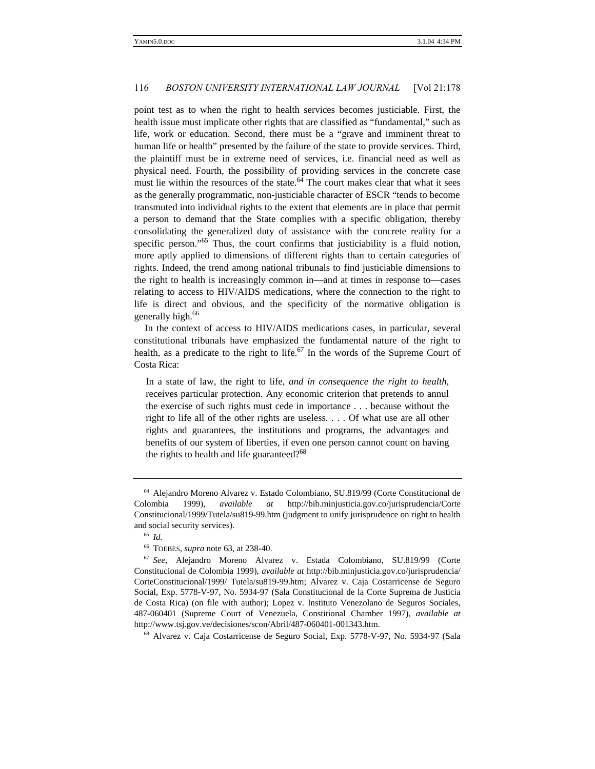point test as to when the right to health services becomes justiciable. First, the health issue must implicate other rights that are classified as "fundamental," such as life, work or education. Second, there must be a "grave and imminent threat to human life or health" presented by the failure of the state to provide services. Third, the plaintiff must be in extreme need of services, i.e. financial need as well as physical need. Fourth, the possibility of providing services in the concrete case must lie within the resources of the state. $64$  The court makes clear that what it sees as the generally programmatic, non-justiciable character of ESCR "tends to become transmuted into individual rights to the extent that elements are in place that permit a person to demand that the State complies with a specific obligation, thereby consolidating the generalized duty of assistance with the concrete reality for a specific person."<sup>65</sup> Thus, the court confirms that justiciability is a fluid notion, more aptly applied to dimensions of different rights than to certain categories of rights. Indeed, the trend among national tribunals to find justiciable dimensions to the right to health is increasingly common in—and at times in response to—cases relating to access to HIV/AIDS medications, where the connection to the right to life is direct and obvious, and the specificity of the normative obligation is generally high.<sup>66</sup>

In the context of access to HIV/AIDS medications cases, in particular, several constitutional tribunals have emphasized the fundamental nature of the right to health, as a predicate to the right to life.<sup>67</sup> In the words of the Supreme Court of Costa Rica:

In a state of law, the right to life, *and in consequence the right to health*, receives particular protection. Any economic criterion that pretends to annul the exercise of such rights must cede in importance . . . because without the right to life all of the other rights are useless. . . . Of what use are all other rights and guarantees, the institutions and programs, the advantages and benefits of our system of liberties, if even one person cannot count on having the rights to health and life guaranteed?<sup>68</sup>

<sup>68</sup> Alvarez v. Caja Costarricense de Seguro Social, Exp. 5778-V-97, No. 5934-97 (Sala

<sup>64</sup> Alejandro Moreno Alvarez v. Estado Colombiano, SU.819/99 (Corte Constitucional de Colombia 1999), *available at* http://bib.minjusticia.gov.co/jurisprudencia/Corte Constitucional/1999/Tutela/su819-99.htm (judgment to unify jurisprudence on right to health and social security services).

<sup>65</sup> *Id.*

<sup>66</sup> TOEBES, *supra* note 63, at 238-40.

<sup>67</sup> *See*, Alejandro Moreno Alvarez v. Estada Colombiano, SU.819/99 (Corte Constitucional de Colombia 1999), *available at* http://bib.minjusticia.gov.co/jurisprudencia/ CorteConstitucional/1999/ Tutela/su819-99.htm; Alvarez v. Caja Costarricense de Seguro Social, Exp. 5778-V-97, No. 5934-97 (Sala Constitucional de la Corte Suprema de Justicia de Costa Rica) (on file with author); Lopez v. Instituto Venezolano de Seguros Sociales, 487-060401 (Supreme Court of Venezuela, Constitional Chamber 1997), *available at* http://www.tsj.gov.ve/decisiones/scon/Abril/487-060401-001343.htm.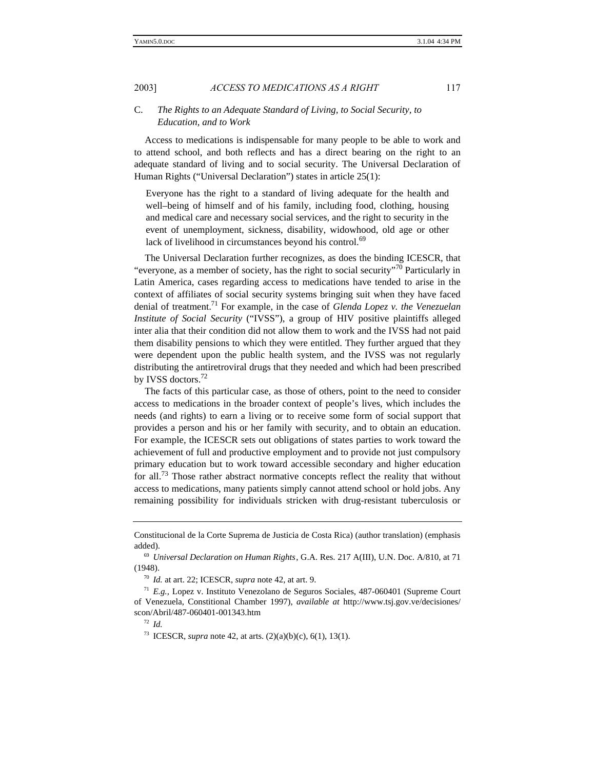# C. *The Rights to an Adequate Standard of Living, to Social Security, to Education, and to Work*

Access to medications is indispensable for many people to be able to work and to attend school, and both reflects and has a direct bearing on the right to an adequate standard of living and to social security. The Universal Declaration of Human Rights ("Universal Declaration") states in article 25(1):

Everyone has the right to a standard of living adequate for the health and well–being of himself and of his family, including food, clothing, housing and medical care and necessary social services, and the right to security in the event of unemployment, sickness, disability, widowhood, old age or other lack of livelihood in circumstances beyond his control.<sup>69</sup>

The Universal Declaration further recognizes, as does the binding ICESCR, that "everyone, as a member of society, has the right to social security"<sup>70</sup> Particularly in Latin America, cases regarding access to medications have tended to arise in the context of affiliates of social security systems bringing suit when they have faced denial of treatment.<sup>71</sup> For example, in the case of *Glenda Lopez v. the Venezuelan Institute of Social Security* ("IVSS"), a group of HIV positive plaintiffs alleged inter alia that their condition did not allow them to work and the IVSS had not paid them disability pensions to which they were entitled. They further argued that they were dependent upon the public health system, and the IVSS was not regularly distributing the antiretroviral drugs that they needed and which had been prescribed by IVSS doctors.<sup>72</sup>

The facts of this particular case, as those of others, point to the need to consider access to medications in the broader context of people's lives, which includes the needs (and rights) to earn a living or to receive some form of social support that provides a person and his or her family with security, and to obtain an education. For example, the ICESCR sets out obligations of states parties to work toward the achievement of full and productive employment and to provide not just compulsory primary education but to work toward accessible secondary and higher education for all.<sup>73</sup> Those rather abstract normative concepts reflect the reality that without access to medications, many patients simply cannot attend school or hold jobs. Any remaining possibility for individuals stricken with drug-resistant tuberculosis or

Constitucional de la Corte Suprema de Justicia de Costa Rica) (author translation) (emphasis added).

<sup>69</sup> *Universal Declaration on Human Rights*, G.A. Res. 217 A(III), U.N. Doc. A/810, at 71 (1948).

<sup>70</sup> *Id.* at art. 22; ICESCR, *supra* note 42, at art. 9.

<sup>71</sup> *E.g.,* Lopez v. Instituto Venezolano de Seguros Sociales, 487-060401 (Supreme Court of Venezuela, Constitional Chamber 1997), *available at* http://www.tsj.gov.ve/decisiones/ scon/Abril/487-060401-001343.htm

<sup>72</sup> *Id.*

<sup>73</sup> ICESCR, *supra* note 42, at arts. (2)(a)(b)(c), 6(1), 13(1).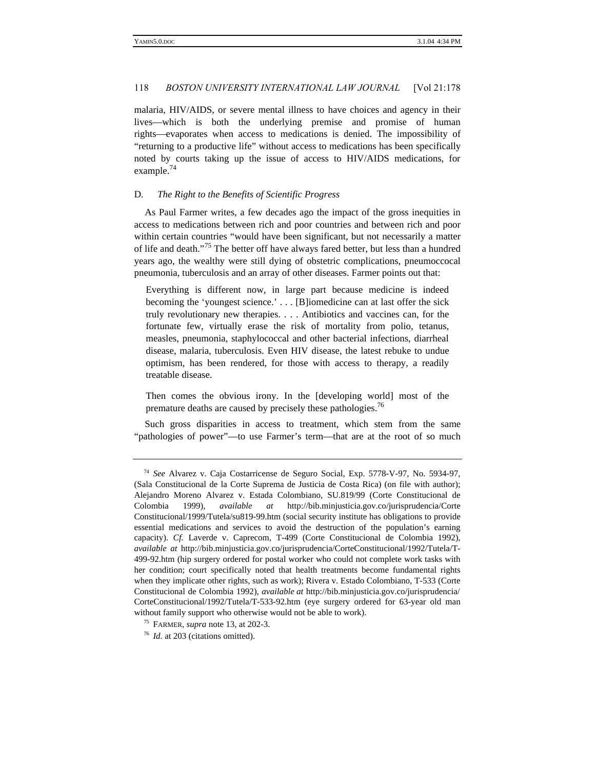malaria, HIV/AIDS, or severe mental illness to have choices and agency in their lives—which is both the underlying premise and promise of human rights—evaporates when access to medications is denied. The impossibility of "returning to a productive life" without access to medications has been specifically noted by courts taking up the issue of access to HIV/AIDS medications, for example.<sup>74</sup>

#### D*. The Right to the Benefits of Scientific Progress*

As Paul Farmer writes, a few decades ago the impact of the gross inequities in access to medications between rich and poor countries and between rich and poor within certain countries "would have been significant, but not necessarily a matter of life and death."<sup>75</sup> The better off have always fared better, but less than a hundred years ago, the wealthy were still dying of obstetric complications, pneumoccocal pneumonia, tuberculosis and an array of other diseases. Farmer points out that:

Everything is different now, in large part because medicine is indeed becoming the 'youngest science.' . . . [B]iomedicine can at last offer the sick truly revolutionary new therapies. . . . Antibiotics and vaccines can, for the fortunate few, virtually erase the risk of mortality from polio, tetanus, measles, pneumonia, staphylococcal and other bacterial infections, diarrheal disease, malaria, tuberculosis. Even HIV disease, the latest rebuke to undue optimism, has been rendered, for those with access to therapy, a readily treatable disease.

Then comes the obvious irony. In the [developing world] most of the premature deaths are caused by precisely these pathologies.<sup>76</sup>

Such gross disparities in access to treatment, which stem from the same "pathologies of power"—to use Farmer's term—that are at the root of so much

<sup>74</sup> *See* Alvarez v. Caja Costarricense de Seguro Social, Exp. 5778-V-97, No. 5934-97, (Sala Constitucional de la Corte Suprema de Justicia de Costa Rica) (on file with author); Alejandro Moreno Alvarez v. Estada Colombiano, SU.819/99 (Corte Constitucional de Colombia 1999), *available at* http://bib.minjusticia.gov.co/jurisprudencia/Corte Constitucional/1999/Tutela/su819-99.htm (social security institute has obligations to provide essential medications and services to avoid the destruction of the population's earning capacity). *Cf.* Laverde v. Caprecom, T-499 (Corte Constitucional de Colombia 1992), *available at* http://bib.minjusticia.gov.co/jurisprudencia/CorteConstitucional/1992/Tutela/T-499-92.htm (hip surgery ordered for postal worker who could not complete work tasks with her condition; court specifically noted that health treatments become fundamental rights when they implicate other rights, such as work); Rivera v. Estado Colombiano, T-533 (Corte Constitucional de Colombia 1992), *available at* http://bib.minjusticia.gov.co/jurisprudencia/ CorteConstitucional/1992/Tutela/T-533-92.htm (eye surgery ordered for 63-year old man without family support who otherwise would not be able to work).

<sup>75</sup> FARMER, *supra* note 13, at 202-3.

<sup>76</sup> *Id*. at 203 (citations omitted).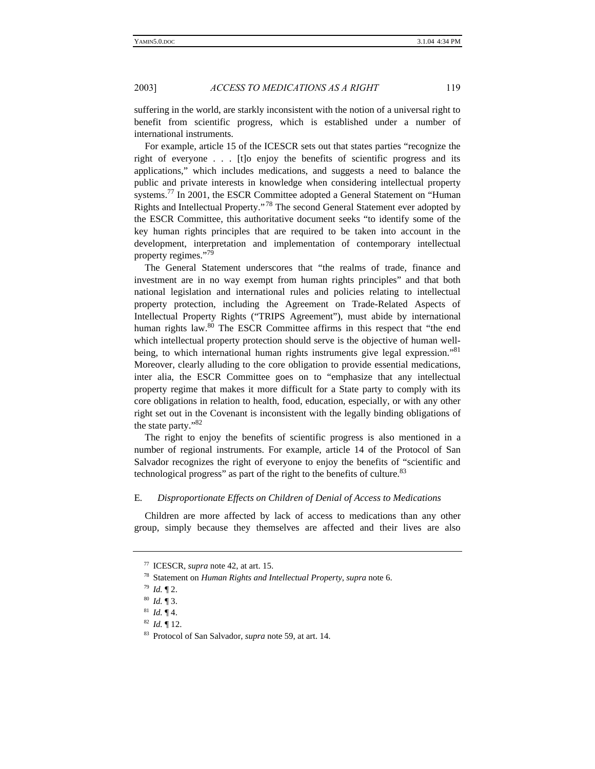suffering in the world, are starkly inconsistent with the notion of a universal right to benefit from scientific progress, which is established under a number of international instruments.

For example, article 15 of the ICESCR sets out that states parties "recognize the right of everyone . . . [t]o enjoy the benefits of scientific progress and its applications," which includes medications, and suggests a need to balance the public and private interests in knowledge when considering intellectual property systems.<sup>77</sup> In 2001, the ESCR Committee adopted a General Statement on "Human" Rights and Intellectual Property." <sup>78</sup> The second General Statement ever adopted by the ESCR Committee, this authoritative document seeks "to identify some of the key human rights principles that are required to be taken into account in the development, interpretation and implementation of contemporary intellectual property regimes."<sup>79</sup>

The General Statement underscores that "the realms of trade, finance and investment are in no way exempt from human rights principles" and that both national legislation and international rules and policies relating to intellectual property protection, including the Agreement on Trade-Related Aspects of Intellectual Property Rights ("TRIPS Agreement"), must abide by international human rights law.<sup>80</sup> The ESCR Committee affirms in this respect that "the end which intellectual property protection should serve is the objective of human wellbeing, to which international human rights instruments give legal expression."<sup>81</sup> Moreover, clearly alluding to the core obligation to provide essential medications, inter alia, the ESCR Committee goes on to "emphasize that any intellectual property regime that makes it more difficult for a State party to comply with its core obligations in relation to health, food, education, especially, or with any other right set out in the Covenant is inconsistent with the legally binding obligations of the state party."<sup>82</sup>

The right to enjoy the benefits of scientific progress is also mentioned in a number of regional instruments. For example, article 14 of the Protocol of San Salvador recognizes the right of everyone to enjoy the benefits of "scientific and technological progress" as part of the right to the benefits of culture.<sup>83</sup>

# E*. Disproportionate Effects on Children of Denial of Access to Medications*

Children are more affected by lack of access to medications than any other group, simply because they themselves are affected and their lives are also

<sup>77</sup> ICESCR, *supra* note 42, at art. 15.

<sup>78</sup> Statement on *Human Rights and Intellectual Property*, *supra* note 6.

<sup>79</sup> *Id.* ¶ 2.

<sup>80</sup> *Id.* ¶ 3.

 $^{81}$  *Id.* ¶ 4.

<sup>82</sup> *Id.* ¶ 12.

<sup>83</sup> Protocol of San Salvador, *supra* note 59, at art. 14.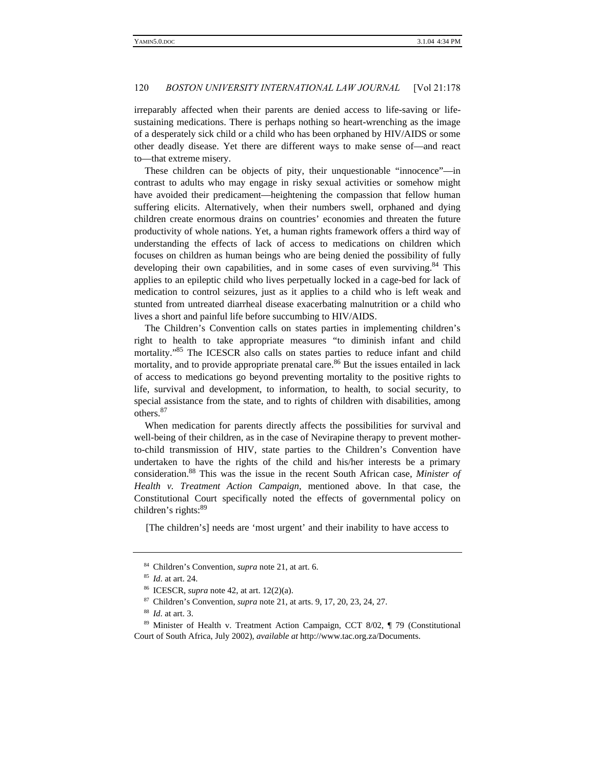irreparably affected when their parents are denied access to life-saving or lifesustaining medications. There is perhaps nothing so heart-wrenching as the image of a desperately sick child or a child who has been orphaned by HIV/AIDS or some other deadly disease. Yet there are different ways to make sense of—and react to—that extreme misery.

These children can be objects of pity, their unquestionable "innocence"—in contrast to adults who may engage in risky sexual activities or somehow might have avoided their predicament—heightening the compassion that fellow human suffering elicits. Alternatively, when their numbers swell, orphaned and dying children create enormous drains on countries' economies and threaten the future productivity of whole nations. Yet, a human rights framework offers a third way of understanding the effects of lack of access to medications on children which focuses on children as human beings who are being denied the possibility of fully developing their own capabilities, and in some cases of even surviving.<sup>84</sup> This applies to an epileptic child who lives perpetually locked in a cage-bed for lack of medication to control seizures, just as it applies to a child who is left weak and stunted from untreated diarrheal disease exacerbating malnutrition or a child who lives a short and painful life before succumbing to HIV/AIDS.

The Children's Convention calls on states parties in implementing children's right to health to take appropriate measures "to diminish infant and child mortality."<sup>85</sup> The ICESCR also calls on states parties to reduce infant and child mortality, and to provide appropriate prenatal care.<sup>86</sup> But the issues entailed in lack of access to medications go beyond preventing mortality to the positive rights to life, survival and development, to information, to health, to social security, to special assistance from the state, and to rights of children with disabilities, among others.<sup>87</sup>

When medication for parents directly affects the possibilities for survival and well-being of their children, as in the case of Nevirapine therapy to prevent motherto-child transmission of HIV, state parties to the Children's Convention have undertaken to have the rights of the child and his/her interests be a primary consideration.<sup>88</sup> This was the issue in the recent South African case, *Minister of Health v. Treatment Action Campaign*, mentioned above. In that case, the Constitutional Court specifically noted the effects of governmental policy on children's rights: $89$ 

[The children's] needs are 'most urgent' and their inability to have access to

<sup>84</sup> Children's Convention, *supra* note 21, at art. 6.

<sup>85</sup> *Id*. at art. 24.

<sup>86</sup> ICESCR, *supra* note 42, at art. 12(2)(a).

<sup>87</sup> Children's Convention, *supra* note 21, at arts. 9, 17, 20, 23, 24, 27.

<sup>88</sup> *Id*. at art. 3.

<sup>89</sup> Minister of Health v. Treatment Action Campaign, CCT 8/02, ¶ 79 (Constitutional Court of South Africa, July 2002), *available at* http://www.tac.org.za/Documents.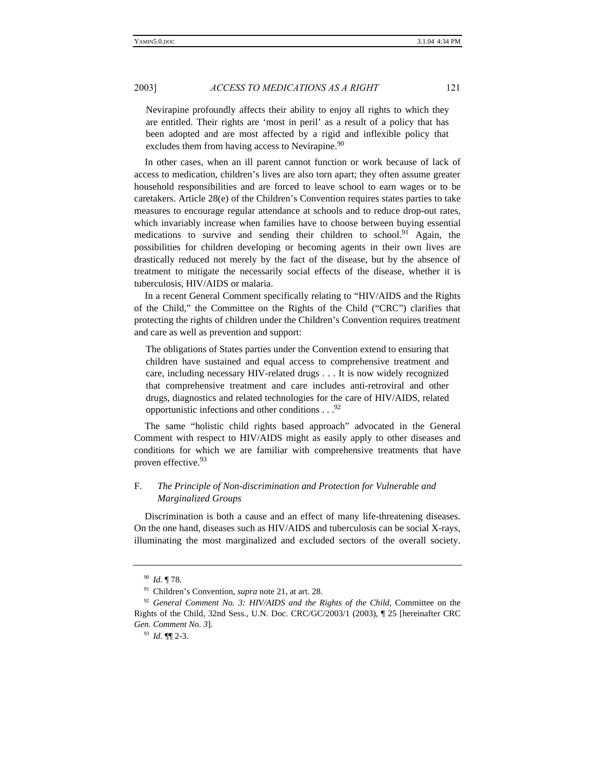Nevirapine profoundly affects their ability to enjoy all rights to which they are entitled. Their rights are 'most in peril' as a result of a policy that has been adopted and are most affected by a rigid and inflexible policy that excludes them from having access to Nevirapine.<sup>90</sup>

In other cases, when an ill parent cannot function or work because of lack of access to medication, children's lives are also torn apart; they often assume greater household responsibilities and are forced to leave school to earn wages or to be caretakers. Article 28(e) of the Children's Convention requires states parties to take measures to encourage regular attendance at schools and to reduce drop-out rates, which invariably increase when families have to choose between buying essential medications to survive and sending their children to school.<sup>91</sup> Again, the possibilities for children developing or becoming agents in their own lives are drastically reduced not merely by the fact of the disease, but by the absence of treatment to mitigate the necessarily social effects of the disease, whether it is tuberculosis, HIV/AIDS or malaria.

In a recent General Comment specifically relating to "HIV/AIDS and the Rights of the Child," the Committee on the Rights of the Child ("CRC") clarifies that protecting the rights of children under the Children's Convention requires treatment and care as well as prevention and support:

The obligations of States parties under the Convention extend to ensuring that children have sustained and equal access to comprehensive treatment and care, including necessary HIV-related drugs . . . It is now widely recognized that comprehensive treatment and care includes anti-retroviral and other drugs, diagnostics and related technologies for the care of HIV/AIDS, related opportunistic infections and other conditions  $\ldots$ <sup>92</sup>

The same "holistic child rights based approach" advocated in the General Comment with respect to HIV/AIDS might as easily apply to other diseases and conditions for which we are familiar with comprehensive treatments that have proven effective.<sup>93</sup>

# F. *The Principle of Non-discrimination and Protection for Vulnerable and Marginalized Groups*

Discrimination is both a cause and an effect of many life-threatening diseases. On the one hand, diseases such as HIV/AIDS and tuberculosis can be social X-rays, illuminating the most marginalized and excluded sectors of the overall society.

<sup>90</sup> *Id*. ¶ 78.

<sup>91</sup> Children's Convention, *supra* note 21, at art. 28.

<sup>&</sup>lt;sup>92</sup> General Comment No. 3: HIV/AIDS and the Rights of the Child, Committee on the Rights of the Child, 32nd Sess., U.N. Doc. CRC/GC/2003/1 (2003), ¶ 25 [hereinafter CRC *Gen. Comment No. 3*].

<sup>93</sup> *Id*. ¶¶ 2-3.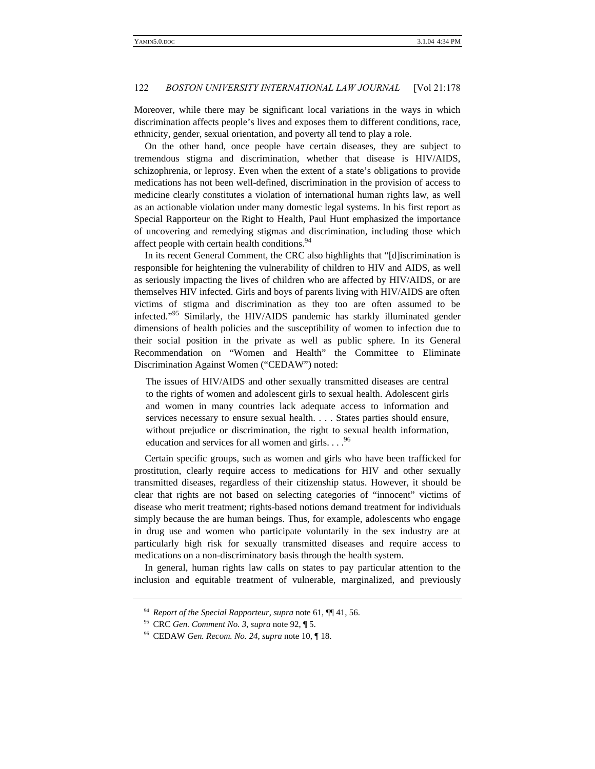Moreover, while there may be significant local variations in the ways in which discrimination affects people's lives and exposes them to different conditions, race, ethnicity, gender, sexual orientation, and poverty all tend to play a role.

On the other hand, once people have certain diseases, they are subject to tremendous stigma and discrimination, whether that disease is HIV/AIDS, schizophrenia, or leprosy. Even when the extent of a state's obligations to provide medications has not been well-defined, discrimination in the provision of access to medicine clearly constitutes a violation of international human rights law, as well as an actionable violation under many domestic legal systems. In his first report as Special Rapporteur on the Right to Health, Paul Hunt emphasized the importance of uncovering and remedying stigmas and discrimination, including those which affect people with certain health conditions.<sup>94</sup>

In its recent General Comment, the CRC also highlights that "[d]iscrimination is responsible for heightening the vulnerability of children to HIV and AIDS, as well as seriously impacting the lives of children who are affected by HIV/AIDS, or are themselves HIV infected. Girls and boys of parents living with HIV/AIDS are often victims of stigma and discrimination as they too are often assumed to be infected."<sup>95</sup> Similarly, the HIV/AIDS pandemic has starkly illuminated gender dimensions of health policies and the susceptibility of women to infection due to their social position in the private as well as public sphere. In its General Recommendation on "Women and Health" the Committee to Eliminate Discrimination Against Women ("CEDAW") noted:

The issues of HIV/AIDS and other sexually transmitted diseases are central to the rights of women and adolescent girls to sexual health. Adolescent girls and women in many countries lack adequate access to information and services necessary to ensure sexual health. . . . States parties should ensure, without prejudice or discrimination, the right to sexual health information, education and services for all women and girls.  $\cdot \cdot$ . <sup>96</sup>

Certain specific groups, such as women and girls who have been trafficked for prostitution, clearly require access to medications for HIV and other sexually transmitted diseases, regardless of their citizenship status. However, it should be clear that rights are not based on selecting categories of "innocent" victims of disease who merit treatment; rights-based notions demand treatment for individuals simply because the are human beings. Thus, for example, adolescents who engage in drug use and women who participate voluntarily in the sex industry are at particularly high risk for sexually transmitted diseases and require access to medications on a non-discriminatory basis through the health system.

In general, human rights law calls on states to pay particular attention to the inclusion and equitable treatment of vulnerable, marginalized, and previously

<sup>94</sup> *Report of the Special Rapporteur*, *supra* note 61, ¶¶ 41, 56.

<sup>95</sup> CRC *Gen. Comment No. 3*, *supra* note 92, ¶ 5.

<sup>96</sup> CEDAW *Gen. Recom. No. 24*, *supra* note 10, ¶ 18.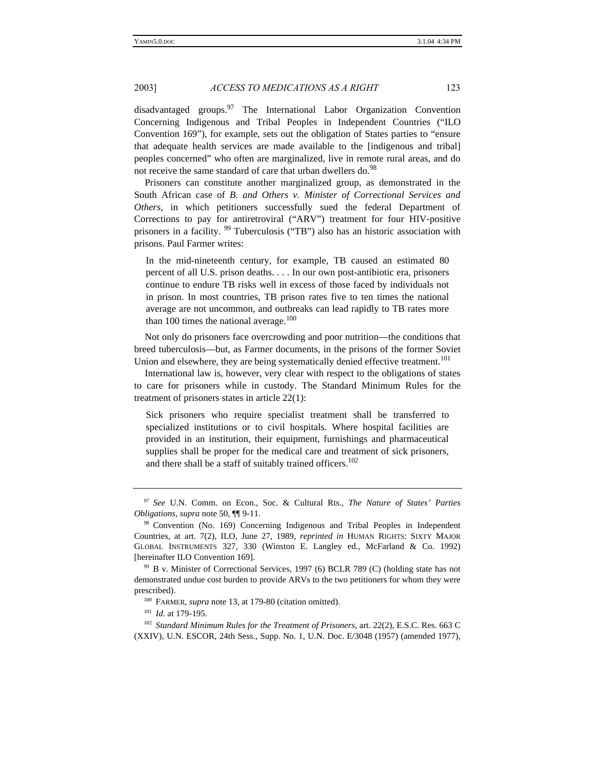disadvantaged groups.<sup>97</sup> The International Labor Organization Convention Concerning Indigenous and Tribal Peoples in Independent Countries ("ILO Convention 169"), for example, sets out the obligation of States parties to "ensure that adequate health services are made available to the [indigenous and tribal] peoples concerned" who often are marginalized, live in remote rural areas, and do not receive the same standard of care that urban dwellers do.<sup>98</sup>

Prisoners can constitute another marginalized group, as demonstrated in the South African case of *B. and Others v. Minister of Correctional Services and Others*, in which petitioners successfully sued the federal Department of Corrections to pay for antiretroviral ("ARV") treatment for four HIV-positive prisoners in a facility. <sup>99</sup> Tuberculosis ("TB") also has an historic association with prisons. Paul Farmer writes:

In the mid-nineteenth century, for example, TB caused an estimated 80 percent of all U.S. prison deaths. . . . In our own post-antibiotic era, prisoners continue to endure TB risks well in excess of those faced by individuals not in prison. In most countries, TB prison rates five to ten times the national average are not uncommon, and outbreaks can lead rapidly to TB rates more than 100 times the national average. $100$ 

Not only do prisoners face overcrowding and poor nutrition—the conditions that breed tuberculosis—but, as Farmer documents, in the prisons of the former Soviet Union and elsewhere, they are being systematically denied effective treatment.<sup>101</sup>

International law is, however, very clear with respect to the obligations of states to care for prisoners while in custody. The Standard Minimum Rules for the treatment of prisoners states in article 22(1):

Sick prisoners who require specialist treatment shall be transferred to specialized institutions or to civil hospitals. Where hospital facilities are provided in an institution, their equipment, furnishings and pharmaceutical supplies shall be proper for the medical care and treatment of sick prisoners, and there shall be a staff of suitably trained officers.<sup>102</sup>

<sup>97</sup> *See* U.N. Comm. on Econ., Soc. & Cultural Rts., *The Nature of States' Parties Obligations*, *supra* note 50, ¶¶ 9-11.

<sup>98</sup> Convention (No. 169) Concerning Indigenous and Tribal Peoples in Independent Countries, at art. 7(2), ILO, June 27, 1989, *reprinted in* HUMAN RIGHTS: SIXTY MAJOR GLOBAL INSTRUMENTS 327, 330 (Winston E. Langley ed., McFarland & Co. 1992) [hereinafter ILO Convention 169].

<sup>99</sup> B v. Minister of Correctional Services, 1997 (6) BCLR 789 (C) (holding state has not demonstrated undue cost burden to provide ARVs to the two petitioners for whom they were prescribed).

<sup>&</sup>lt;sup>100</sup> FARMER, *supra* note 13, at 179-80 (citation omitted).

<sup>101</sup> *Id*. at 179-195.

<sup>102</sup> *Standard Minimum Rules for the Treatment of Prisoners*, art. 22(2), E.S.C. Res. 663 C (XXIV), U.N. ESCOR, 24th Sess., Supp. No. 1, U.N. Doc. E/3048 (1957) (amended 1977),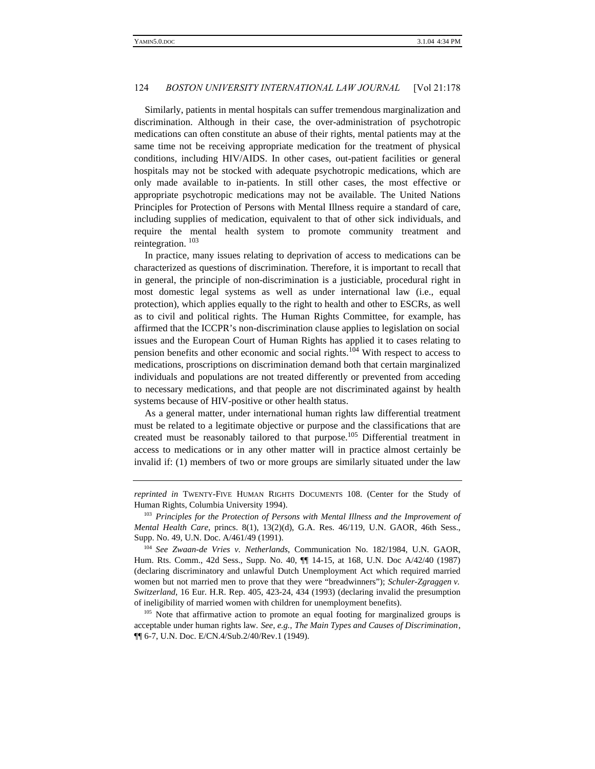Similarly, patients in mental hospitals can suffer tremendous marginalization and discrimination. Although in their case, the over-administration of psychotropic medications can often constitute an abuse of their rights, mental patients may at the same time not be receiving appropriate medication for the treatment of physical conditions, including HIV/AIDS. In other cases, out-patient facilities or general hospitals may not be stocked with adequate psychotropic medications, which are only made available to in-patients. In still other cases, the most effective or appropriate psychotropic medications may not be available. The United Nations Principles for Protection of Persons with Mental Illness require a standard of care, including supplies of medication, equivalent to that of other sick individuals, and require the mental health system to promote community treatment and reintegration. <sup>103</sup>

In practice, many issues relating to deprivation of access to medications can be characterized as questions of discrimination. Therefore, it is important to recall that in general, the principle of non-discrimination is a justiciable, procedural right in most domestic legal systems as well as under international law (i.e., equal protection), which applies equally to the right to health and other to ESCRs, as well as to civil and political rights. The Human Rights Committee, for example, has affirmed that the ICCPR's non-discrimination clause applies to legislation on social issues and the European Court of Human Rights has applied it to cases relating to pension benefits and other economic and social rights.<sup>104</sup> With respect to access to medications, proscriptions on discrimination demand both that certain marginalized individuals and populations are not treated differently or prevented from acceding to necessary medications, and that people are not discriminated against by health systems because of HIV-positive or other health status.

As a general matter, under international human rights law differential treatment must be related to a legitimate objective or purpose and the classifications that are created must be reasonably tailored to that purpose.<sup>105</sup> Differential treatment in access to medications or in any other matter will in practice almost certainly be invalid if: (1) members of two or more groups are similarly situated under the law

*reprinted in* TWENTY-FIVE HUMAN RIGHTS DOCUMENTS 108. (Center for the Study of Human Rights, Columbia University 1994).

<sup>&</sup>lt;sup>103</sup> Principles for the Protection of Persons with Mental Illness and the Improvement of *Mental Health Care*, princs. 8(1), 13(2)(d), G.A. Res. 46/119, U.N. GAOR, 46th Sess., Supp. No. 49, U.N. Doc. A/461/49 (1991).

<sup>104</sup> *See Zwaan-de Vries v. Netherlands*, Communication No. 182/1984, U.N. GAOR, Hum. Rts. Comm., 42d Sess., Supp. No. 40, ¶¶ 14-15, at 168, U.N. Doc A/42/40 (1987) (declaring discriminatory and unlawful Dutch Unemployment Act which required married women but not married men to prove that they were "breadwinners"); *Schuler-Zgraggen v. Switzerland*, 16 Eur. H.R. Rep. 405, 423-24, 434 (1993) (declaring invalid the presumption of ineligibility of married women with children for unemployment benefits).

<sup>&</sup>lt;sup>105</sup> Note that affirmative action to promote an equal footing for marginalized groups is acceptable under human rights law. *See, e.g., The Main Types and Causes of Discrimination*, ¶¶ 6-7, U.N. Doc. E/CN.4/Sub.2/40/Rev.1 (1949).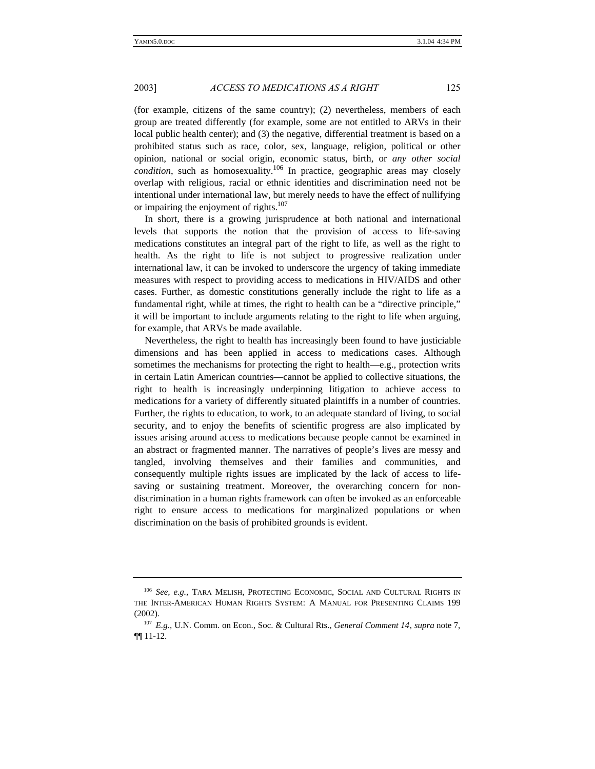(for example, citizens of the same country); (2) nevertheless, members of each group are treated differently (for example, some are not entitled to ARVs in their local public health center); and (3) the negative, differential treatment is based on a prohibited status such as race, color, sex, language, religion, political or other opinion, national or social origin, economic status, birth, or *any other social condition*, such as homosexuality.<sup>106</sup> In practice, geographic areas may closely overlap with religious, racial or ethnic identities and discrimination need not be intentional under international law, but merely needs to have the effect of nullifying or impairing the enjoyment of rights.<sup>107</sup>

In short, there is a growing jurisprudence at both national and international levels that supports the notion that the provision of access to life-saving medications constitutes an integral part of the right to life, as well as the right to health. As the right to life is not subject to progressive realization under international law, it can be invoked to underscore the urgency of taking immediate measures with respect to providing access to medications in HIV/AIDS and other cases. Further, as domestic constitutions generally include the right to life as a fundamental right, while at times, the right to health can be a "directive principle," it will be important to include arguments relating to the right to life when arguing, for example, that ARVs be made available.

Nevertheless, the right to health has increasingly been found to have justiciable dimensions and has been applied in access to medications cases. Although sometimes the mechanisms for protecting the right to health—e.g., protection writs in certain Latin American countries—cannot be applied to collective situations, the right to health is increasingly underpinning litigation to achieve access to medications for a variety of differently situated plaintiffs in a number of countries. Further, the rights to education, to work, to an adequate standard of living, to social security, and to enjoy the benefits of scientific progress are also implicated by issues arising around access to medications because people cannot be examined in an abstract or fragmented manner. The narratives of people's lives are messy and tangled, involving themselves and their families and communities, and consequently multiple rights issues are implicated by the lack of access to lifesaving or sustaining treatment. Moreover, the overarching concern for nondiscrimination in a human rights framework can often be invoked as an enforceable right to ensure access to medications for marginalized populations or when discrimination on the basis of prohibited grounds is evident.

<sup>106</sup> *See, e.g.,* TARA MELISH, PROTECTING ECONOMIC, SOCIAL AND CULTURAL RIGHTS IN THE INTER-AMERICAN HUMAN RIGHTS SYSTEM: A MANUAL FOR PRESENTING CLAIMS 199 (2002).

<sup>107</sup> *E.g.,* U.N. Comm. on Econ., Soc. & Cultural Rts., *General Comment 14*, *supra* note 7, ¶¶ 11-12.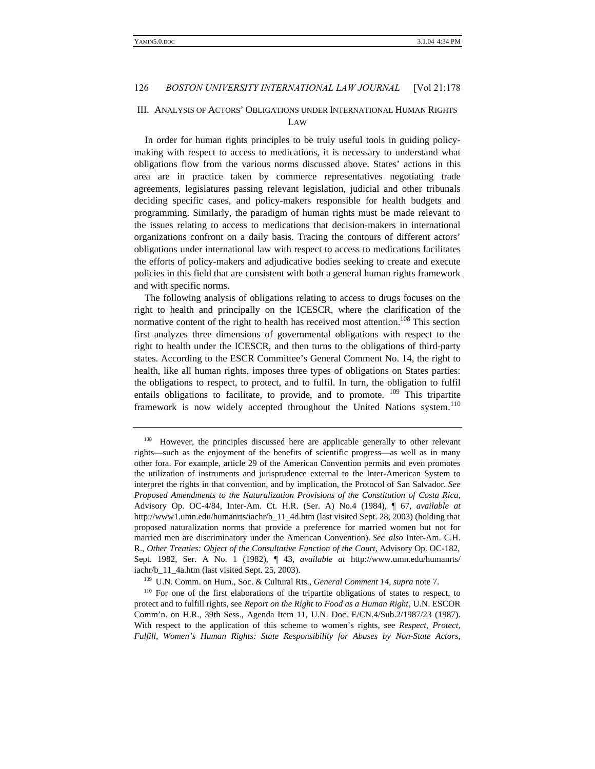# III. ANALYSIS OF ACTORS' OBLIGATIONS UNDER INTERNATIONAL HUMAN RIGHTS LAW

In order for human rights principles to be truly useful tools in guiding policymaking with respect to access to medications, it is necessary to understand what obligations flow from the various norms discussed above. States' actions in this area are in practice taken by commerce representatives negotiating trade agreements, legislatures passing relevant legislation, judicial and other tribunals deciding specific cases, and policy-makers responsible for health budgets and programming. Similarly, the paradigm of human rights must be made relevant to the issues relating to access to medications that decision-makers in international organizations confront on a daily basis. Tracing the contours of different actors' obligations under international law with respect to access to medications facilitates the efforts of policy-makers and adjudicative bodies seeking to create and execute policies in this field that are consistent with both a general human rights framework and with specific norms.

The following analysis of obligations relating to access to drugs focuses on the right to health and principally on the ICESCR, where the clarification of the normative content of the right to health has received most attention.<sup>108</sup> This section first analyzes three dimensions of governmental obligations with respect to the right to health under the ICESCR, and then turns to the obligations of third-party states. According to the ESCR Committee's General Comment No. 14, the right to health, like all human rights, imposes three types of obligations on States parties: the obligations to respect, to protect, and to fulfil. In turn, the obligation to fulfil entails obligations to facilitate, to provide, and to promote.  $109$  This tripartite framework is now widely accepted throughout the United Nations system.<sup>110</sup>

<sup>&</sup>lt;sup>108</sup> However, the principles discussed here are applicable generally to other relevant rights—such as the enjoyment of the benefits of scientific progress—as well as in many other fora. For example, article 29 of the American Convention permits and even promotes the utilization of instruments and jurisprudence external to the Inter-American System to interpret the rights in that convention, and by implication, the Protocol of San Salvador. *See Proposed Amendments to the Naturalization Provisions of the Constitution of Costa Rica*, Advisory Op. OC-4/84, Inter-Am. Ct. H.R. (Ser. A) No.4 (1984), ¶ 67, *available at* http://www1.umn.edu/humanrts/iachr/b\_11\_4d.htm (last visited Sept. 28, 2003) (holding that proposed naturalization norms that provide a preference for married women but not for married men are discriminatory under the American Convention). *See also* Inter-Am. C.H. R., *Other Treaties: Object of the Consultative Function of the Court,* Advisory Op. OC-182, Sept. 1982, Ser. A No. 1 (1982), ¶ 43, *available at* http://www.umn.edu/humanrts/ iachr/b\_11\_4a.htm (last visited Sept. 25, 2003).

<sup>109</sup> U.N. Comm. on Hum., Soc. & Cultural Rts., *General Comment 14*, *supra* note 7.

<sup>&</sup>lt;sup>110</sup> For one of the first elaborations of the tripartite obligations of states to respect, to protect and to fulfill rights, see *Report on the Right to Food as a Human Right*, U.N. ESCOR Comm'n. on H.R., 39th Sess., Agenda Item 11, U.N. Doc. E/CN.4/Sub.2/1987/23 (1987). With respect to the application of this scheme to women's rights, see *Respect, Protect, Fulfill, Women's Human Rights: State Responsibility for Abuses by Non-State Actors*,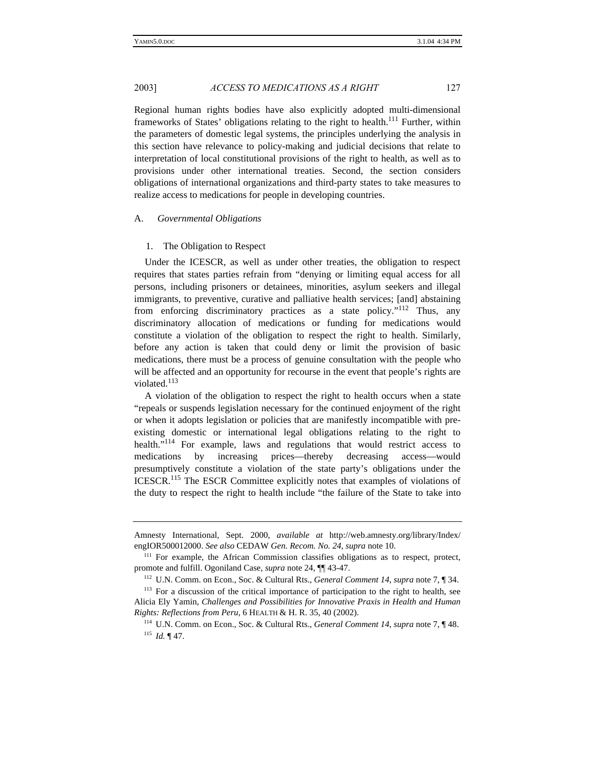Regional human rights bodies have also explicitly adopted multi-dimensional frameworks of States' obligations relating to the right to health.<sup>111</sup> Further, within the parameters of domestic legal systems, the principles underlying the analysis in this section have relevance to policy-making and judicial decisions that relate to interpretation of local constitutional provisions of the right to health, as well as to provisions under other international treaties. Second, the section considers obligations of international organizations and third-party states to take measures to realize access to medications for people in developing countries.

#### A. *Governmental Obligations*

#### 1. The Obligation to Respect

Under the ICESCR, as well as under other treaties, the obligation to respect requires that states parties refrain from "denying or limiting equal access for all persons, including prisoners or detainees, minorities, asylum seekers and illegal immigrants, to preventive, curative and palliative health services; [and] abstaining from enforcing discriminatory practices as a state policy."<sup>112</sup> Thus, any discriminatory allocation of medications or funding for medications would constitute a violation of the obligation to respect the right to health. Similarly, before any action is taken that could deny or limit the provision of basic medications, there must be a process of genuine consultation with the people who will be affected and an opportunity for recourse in the event that people's rights are violated.<sup>113</sup>

A violation of the obligation to respect the right to health occurs when a state "repeals or suspends legislation necessary for the continued enjoyment of the right or when it adopts legislation or policies that are manifestly incompatible with preexisting domestic or international legal obligations relating to the right to health."<sup>114</sup> For example, laws and regulations that would restrict access to medications by increasing prices—thereby decreasing access—would presumptively constitute a violation of the state party's obligations under the ICESCR.<sup>115</sup> The ESCR Committee explicitly notes that examples of violations of the duty to respect the right to health include "the failure of the State to take into

Amnesty International, Sept. 2000, *available at* http://web.amnesty.org/library/Index/ engIOR500012000. *See also* CEDAW *Gen. Recom. No. 24*, *supra* note 10.

<sup>&</sup>lt;sup>111</sup> For example, the African Commission classifies obligations as to respect, protect, promote and fulfill. Ogoniland Case, *supra* note 24, ¶¶ 43-47.

<sup>112</sup> U.N. Comm. on Econ., Soc. & Cultural Rts., *General Comment 14*, *supra* note 7, ¶ 34.

<sup>&</sup>lt;sup>113</sup> For a discussion of the critical importance of participation to the right to health, see Alicia Ely Yamin, *Challenges and Possibilities for Innovative Praxis in Health and Human Rights: Reflections from Peru*, 6 HEALTH & H. R. 35, 40 (2002).

<sup>114</sup> U.N. Comm. on Econ., Soc. & Cultural Rts., *General Comment 14*, *supra* note 7, ¶ 48. <sup>115</sup> *Id.* ¶ 47.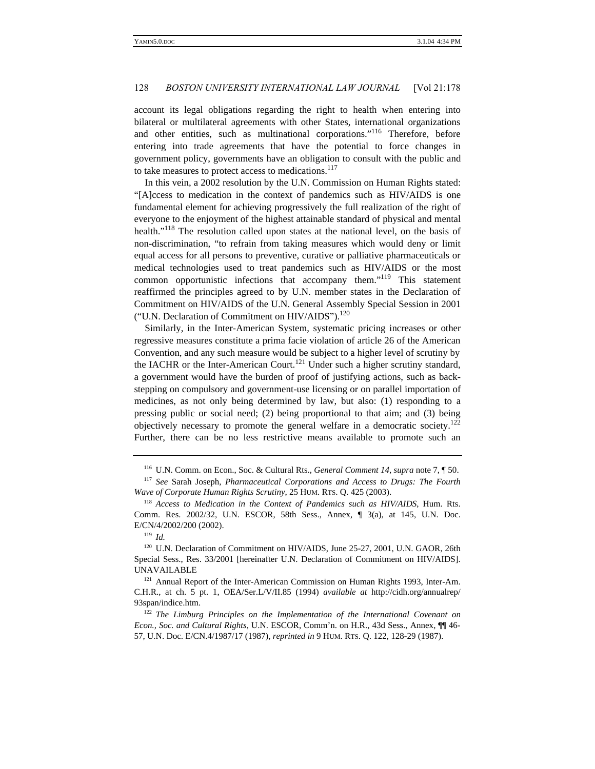account its legal obligations regarding the right to health when entering into bilateral or multilateral agreements with other States, international organizations and other entities, such as multinational corporations."<sup>116</sup> Therefore, before entering into trade agreements that have the potential to force changes in government policy, governments have an obligation to consult with the public and to take measures to protect access to medications.<sup>117</sup>

In this vein, a 2002 resolution by the U.N. Commission on Human Rights stated: "[A]ccess to medication in the context of pandemics such as HIV/AIDS is one fundamental element for achieving progressively the full realization of the right of everyone to the enjoyment of the highest attainable standard of physical and mental health."<sup>118</sup> The resolution called upon states at the national level, on the basis of non-discrimination, "to refrain from taking measures which would deny or limit equal access for all persons to preventive, curative or palliative pharmaceuticals or medical technologies used to treat pandemics such as HIV/AIDS or the most common opportunistic infections that accompany them."<sup>119</sup> This statement reaffirmed the principles agreed to by U.N. member states in the Declaration of Commitment on HIV/AIDS of the U.N. General Assembly Special Session in 2001 ("U.N. Declaration of Commitment on HIV/AIDS").<sup>120</sup>

Similarly, in the Inter-American System, systematic pricing increases or other regressive measures constitute a prima facie violation of article 26 of the American Convention, and any such measure would be subject to a higher level of scrutiny by the IACHR or the Inter-American Court.<sup>121</sup> Under such a higher scrutiny standard, a government would have the burden of proof of justifying actions, such as backstepping on compulsory and government-use licensing or on parallel importation of medicines, as not only being determined by law, but also: (1) responding to a pressing public or social need; (2) being proportional to that aim; and (3) being objectively necessary to promote the general welfare in a democratic society.<sup>122</sup> Further, there can be no less restrictive means available to promote such an

<sup>119</sup> *Id.*

<sup>116</sup> U.N. Comm. on Econ., Soc. & Cultural Rts., *General Comment 14*, *supra* note 7, ¶ 50.

<sup>117</sup> *See* Sarah Joseph, *Pharmaceutical Corporations and Access to Drugs: The Fourth Wave of Corporate Human Rights Scrutiny*, 25 HUM. RTS. Q. 425 (2003).

<sup>118</sup> *Access to Medication in the Context of Pandemics such as HIV/AIDS*, Hum. Rts. Comm. Res. 2002/32, U.N. ESCOR, 58th Sess., Annex, ¶ 3(a), at 145, U.N. Doc. E/CN/4/2002/200 (2002).

<sup>&</sup>lt;sup>120</sup> U.N. Declaration of Commitment on HIV/AIDS, June 25-27, 2001, U.N. GAOR, 26th Special Sess., Res. 33/2001 [hereinafter U.N. Declaration of Commitment on HIV/AIDS]. UNAVAILABLE

<sup>&</sup>lt;sup>121</sup> Annual Report of the Inter-American Commission on Human Rights 1993, Inter-Am. C.H.R., at ch. 5 pt. 1, OEA/Ser.L/V/II.85 (1994) *available at* http://cidh.org/annualrep/ 93span/indice.htm.

<sup>122</sup> *The Limburg Principles on the Implementation of the International Covenant on Econ., Soc. and Cultural Rights*, U.N. ESCOR, Comm'n. on H.R., 43d Sess., Annex, ¶¶ 46- 57, U.N. Doc. E/CN.4/1987/17 (1987), *reprinted in* 9 HUM. RTS. Q. 122, 128-29 (1987).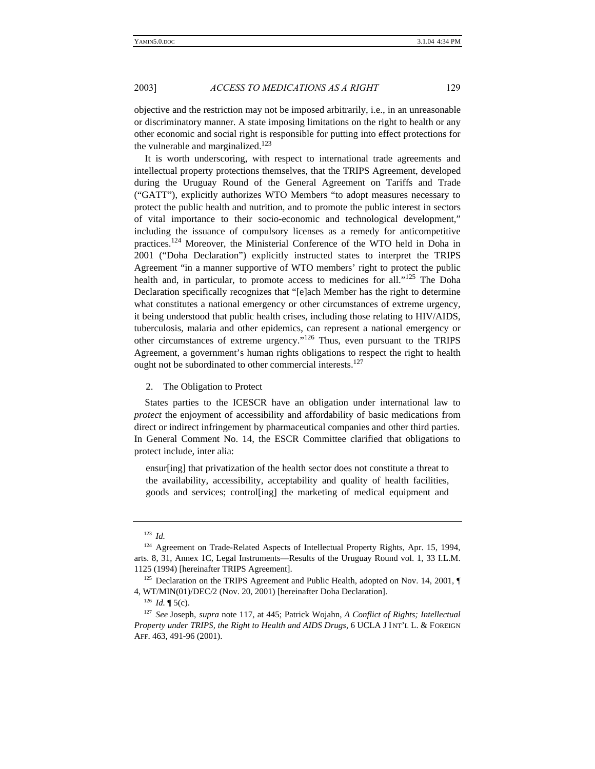objective and the restriction may not be imposed arbitrarily, i.e., in an unreasonable or discriminatory manner. A state imposing limitations on the right to health or any other economic and social right is responsible for putting into effect protections for the vulnerable and marginalized.<sup>123</sup>

It is worth underscoring, with respect to international trade agreements and intellectual property protections themselves, that the TRIPS Agreement, developed during the Uruguay Round of the General Agreement on Tariffs and Trade ("GATT"), explicitly authorizes WTO Members "to adopt measures necessary to protect the public health and nutrition, and to promote the public interest in sectors of vital importance to their socio-economic and technological development," including the issuance of compulsory licenses as a remedy for anticompetitive practices.<sup>124</sup> Moreover, the Ministerial Conference of the WTO held in Doha in 2001 ("Doha Declaration") explicitly instructed states to interpret the TRIPS Agreement "in a manner supportive of WTO members' right to protect the public health and, in particular, to promote access to medicines for all."<sup>125</sup> The Doha Declaration specifically recognizes that "[e]ach Member has the right to determine what constitutes a national emergency or other circumstances of extreme urgency, it being understood that public health crises, including those relating to HIV/AIDS, tuberculosis, malaria and other epidemics, can represent a national emergency or other circumstances of extreme urgency."<sup>126</sup> Thus, even pursuant to the TRIPS Agreement, a government's human rights obligations to respect the right to health ought not be subordinated to other commercial interests.<sup>127</sup>

#### 2. The Obligation to Protect

States parties to the ICESCR have an obligation under international law to *protect* the enjoyment of accessibility and affordability of basic medications from direct or indirect infringement by pharmaceutical companies and other third parties. In General Comment No. 14, the ESCR Committee clarified that obligations to protect include, inter alia:

ensur[ing] that privatization of the health sector does not constitute a threat to the availability, accessibility, acceptability and quality of health facilities, goods and services; control[ing] the marketing of medical equipment and

<sup>123</sup> *Id.*

<sup>&</sup>lt;sup>124</sup> Agreement on Trade-Related Aspects of Intellectual Property Rights, Apr. 15, 1994, arts. 8, 31, Annex 1C, Legal Instruments—Results of the Uruguay Round vol. 1, 33 I.L.M. 1125 (1994) [hereinafter TRIPS Agreement].

<sup>&</sup>lt;sup>125</sup> Declaration on the TRIPS Agreement and Public Health, adopted on Nov. 14, 2001,  $\P$ 4, WT/MIN(01)/DEC/2 (Nov. 20, 2001) [hereinafter Doha Declaration].

 $126$  *Id.* ¶ 5(c).

<sup>127</sup> *See* Joseph, *supra* note 117, at 445; Patrick Wojahn, *A Conflict of Rights; Intellectual Property under TRIPS, the Right to Health and AIDS Drugs*, 6 UCLA J INT'L L. & FOREIGN AFF. 463, 491-96 (2001).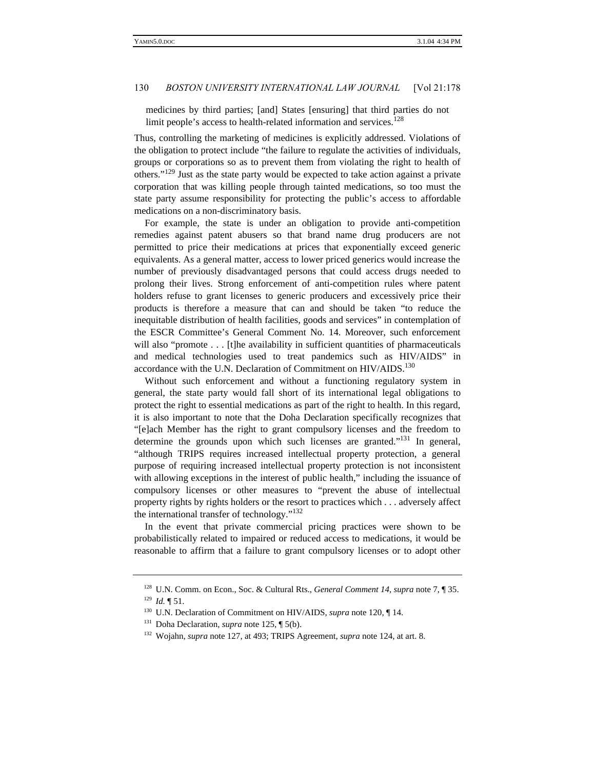medicines by third parties; [and] States [ensuring] that third parties do not limit people's access to health-related information and services.<sup>128</sup>

Thus, controlling the marketing of medicines is explicitly addressed. Violations of the obligation to protect include "the failure to regulate the activities of individuals, groups or corporations so as to prevent them from violating the right to health of others."<sup>129</sup> Just as the state party would be expected to take action against a private corporation that was killing people through tainted medications, so too must the state party assume responsibility for protecting the public's access to affordable medications on a non-discriminatory basis.

For example, the state is under an obligation to provide anti-competition remedies against patent abusers so that brand name drug producers are not permitted to price their medications at prices that exponentially exceed generic equivalents. As a general matter, access to lower priced generics would increase the number of previously disadvantaged persons that could access drugs needed to prolong their lives. Strong enforcement of anti-competition rules where patent holders refuse to grant licenses to generic producers and excessively price their products is therefore a measure that can and should be taken "to reduce the inequitable distribution of health facilities, goods and services" in contemplation of the ESCR Committee's General Comment No. 14. Moreover, such enforcement will also "promote . . . [t]he availability in sufficient quantities of pharmaceuticals and medical technologies used to treat pandemics such as HIV/AIDS" in accordance with the U.N. Declaration of Commitment on HIV/AIDS.<sup>130</sup>

Without such enforcement and without a functioning regulatory system in general, the state party would fall short of its international legal obligations to protect the right to essential medications as part of the right to health. In this regard, it is also important to note that the Doha Declaration specifically recognizes that "[e]ach Member has the right to grant compulsory licenses and the freedom to determine the grounds upon which such licenses are granted."<sup>131</sup> In general, "although TRIPS requires increased intellectual property protection, a general purpose of requiring increased intellectual property protection is not inconsistent with allowing exceptions in the interest of public health," including the issuance of compulsory licenses or other measures to "prevent the abuse of intellectual property rights by rights holders or the resort to practices which . . . adversely affect the international transfer of technology."<sup>132</sup>

In the event that private commercial pricing practices were shown to be probabilistically related to impaired or reduced access to medications, it would be reasonable to affirm that a failure to grant compulsory licenses or to adopt other

<sup>128</sup> U.N. Comm. on Econ., Soc. & Cultural Rts., *General Comment 14*, *supra* note 7, ¶ 35.  $129$  *Id.*  $\P$  51.

<sup>&</sup>lt;sup>130</sup> U.N. Declaration of Commitment on HIV/AIDS, *supra* note 120,  $\P$  14.

<sup>131</sup> Doha Declaration, *supra* note 125, ¶ 5(b).

<sup>132</sup> Wojahn, *supra* note 127, at 493; TRIPS Agreement, *supra* note 124, at art. 8.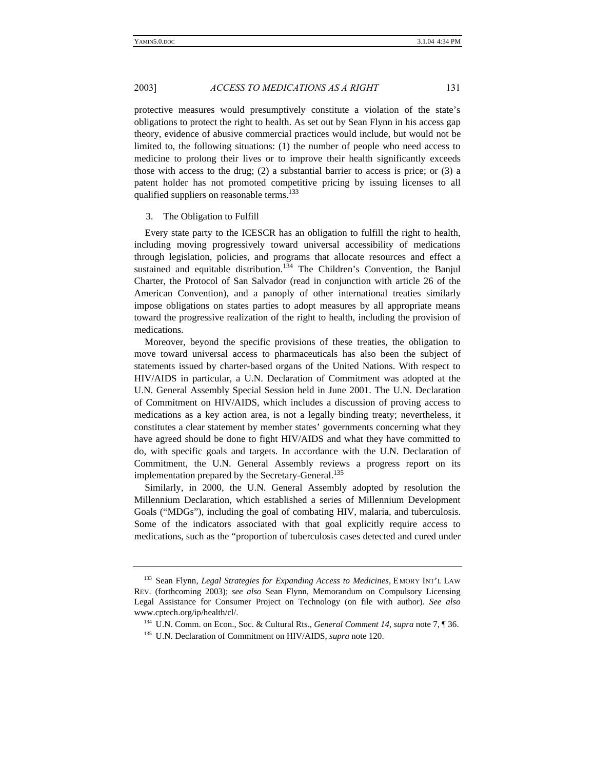protective measures would presumptively constitute a violation of the state's obligations to protect the right to health. As set out by Sean Flynn in his access gap theory, evidence of abusive commercial practices would include, but would not be limited to, the following situations: (1) the number of people who need access to medicine to prolong their lives or to improve their health significantly exceeds those with access to the drug; (2) a substantial barrier to access is price; or (3) a patent holder has not promoted competitive pricing by issuing licenses to all qualified suppliers on reasonable terms.<sup>133</sup>

#### 3. The Obligation to Fulfill

Every state party to the ICESCR has an obligation to fulfill the right to health, including moving progressively toward universal accessibility of medications through legislation, policies, and programs that allocate resources and effect a sustained and equitable distribution.<sup>134</sup> The Children's Convention, the Banjul Charter, the Protocol of San Salvador (read in conjunction with article 26 of the American Convention), and a panoply of other international treaties similarly impose obligations on states parties to adopt measures by all appropriate means toward the progressive realization of the right to health, including the provision of medications.

Moreover, beyond the specific provisions of these treaties, the obligation to move toward universal access to pharmaceuticals has also been the subject of statements issued by charter-based organs of the United Nations. With respect to HIV/AIDS in particular, a U.N. Declaration of Commitment was adopted at the U.N. General Assembly Special Session held in June 2001. The U.N. Declaration of Commitment on HIV/AIDS, which includes a discussion of proving access to medications as a key action area, is not a legally binding treaty; nevertheless, it constitutes a clear statement by member states' governments concerning what they have agreed should be done to fight HIV/AIDS and what they have committed to do, with specific goals and targets. In accordance with the U.N. Declaration of Commitment, the U.N. General Assembly reviews a progress report on its implementation prepared by the Secretary-General.<sup>135</sup>

Similarly, in 2000, the U.N. General Assembly adopted by resolution the Millennium Declaration, which established a series of Millennium Development Goals ("MDGs"), including the goal of combating HIV, malaria, and tuberculosis. Some of the indicators associated with that goal explicitly require access to medications, such as the "proportion of tuberculosis cases detected and cured under

<sup>133</sup> Sean Flynn, *Legal Strategies for Expanding Access to Medicines*, EMORY INT'L LAW REV. (forthcoming 2003); *see also* Sean Flynn, Memorandum on Compulsory Licensing Legal Assistance for Consumer Project on Technology (on file with author). *See also* www.cptech.org/ip/health/cl/.

<sup>134</sup> U.N. Comm. on Econ., Soc. & Cultural Rts., *General Comment 14*, *supra* note 7, ¶ 36.

<sup>&</sup>lt;sup>135</sup> U.N. Declaration of Commitment on HIV/AIDS, *supra* note 120.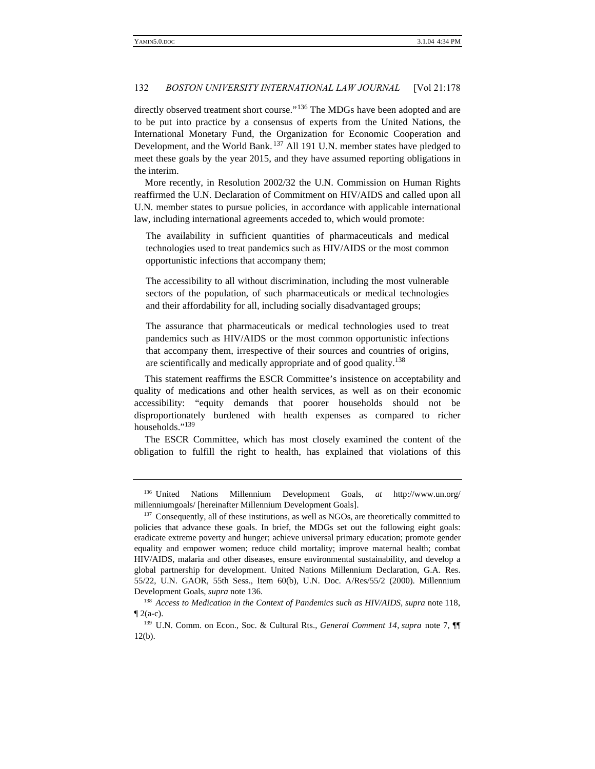directly observed treatment short course."<sup>136</sup> The MDGs have been adopted and are to be put into practice by a consensus of experts from the United Nations, the International Monetary Fund, the Organization for Economic Cooperation and Development, and the World Bank.<sup>137</sup> All 191 U.N. member states have pledged to meet these goals by the year 2015, and they have assumed reporting obligations in the interim.

More recently, in Resolution 2002/32 the U.N. Commission on Human Rights reaffirmed the U.N. Declaration of Commitment on HIV/AIDS and called upon all U.N. member states to pursue policies, in accordance with applicable international law, including international agreements acceded to, which would promote:

The availability in sufficient quantities of pharmaceuticals and medical technologies used to treat pandemics such as HIV/AIDS or the most common opportunistic infections that accompany them;

The accessibility to all without discrimination, including the most vulnerable sectors of the population, of such pharmaceuticals or medical technologies and their affordability for all, including socially disadvantaged groups;

The assurance that pharmaceuticals or medical technologies used to treat pandemics such as HIV/AIDS or the most common opportunistic infections that accompany them, irrespective of their sources and countries of origins, are scientifically and medically appropriate and of good quality.<sup>138</sup>

This statement reaffirms the ESCR Committee's insistence on acceptability and quality of medications and other health services, as well as on their economic accessibility: "equity demands that poorer households should not be disproportionately burdened with health expenses as compared to richer households."<sup>139</sup>

The ESCR Committee, which has most closely examined the content of the obligation to fulfill the right to health, has explained that violations of this

<sup>136</sup> United Nations Millennium Development Goals, *at* http://www.un.org/ millenniumgoals/ [hereinafter Millennium Development Goals].

<sup>&</sup>lt;sup>137</sup> Consequently, all of these institutions, as well as NGOs, are theoretically committed to policies that advance these goals. In brief, the MDGs set out the following eight goals: eradicate extreme poverty and hunger; achieve universal primary education; promote gender equality and empower women; reduce child mortality; improve maternal health; combat HIV/AIDS, malaria and other diseases, ensure environmental sustainability, and develop a global partnership for development. United Nations Millennium Declaration, G.A. Res. 55/22, U.N. GAOR, 55th Sess., Item 60(b), U.N. Doc. A/Res/55/2 (2000). Millennium Development Goals, *supra* note 136*.*

<sup>&</sup>lt;sup>138</sup> Access to Medication in the Context of Pandemics such as HIV/AIDS, supra note 118,  $\P$  2(a-c).

<sup>139</sup> U.N. Comm. on Econ., Soc. & Cultural Rts., *General Comment 14*, *supra* note 7, ¶¶ 12(b).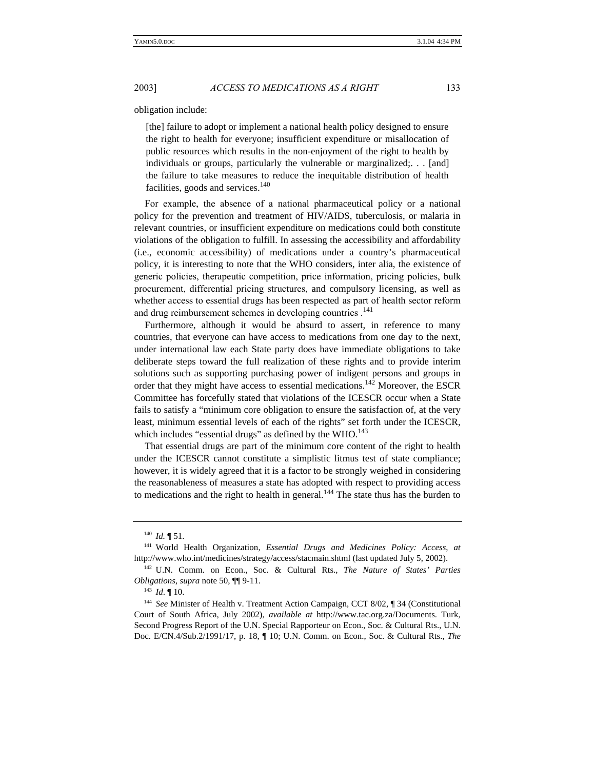obligation include:

[the] failure to adopt or implement a national health policy designed to ensure the right to health for everyone; insufficient expenditure or misallocation of public resources which results in the non-enjoyment of the right to health by individuals or groups, particularly the vulnerable or marginalized;. . . [and] the failure to take measures to reduce the inequitable distribution of health facilities, goods and services. $140$ 

For example, the absence of a national pharmaceutical policy or a national policy for the prevention and treatment of HIV/AIDS, tuberculosis, or malaria in relevant countries, or insufficient expenditure on medications could both constitute violations of the obligation to fulfill. In assessing the accessibility and affordability (i.e., economic accessibility) of medications under a country's pharmaceutical policy, it is interesting to note that the WHO considers, inter alia, the existence of generic policies, therapeutic competition, price information, pricing policies, bulk procurement, differential pricing structures, and compulsory licensing, as well as whether access to essential drugs has been respected as part of health sector reform and drug reimbursement schemes in developing countries.<sup>141</sup>

Furthermore, although it would be absurd to assert, in reference to many countries, that everyone can have access to medications from one day to the next, under international law each State party does have immediate obligations to take deliberate steps toward the full realization of these rights and to provide interim solutions such as supporting purchasing power of indigent persons and groups in order that they might have access to essential medications.<sup>142</sup> Moreover, the ESCR Committee has forcefully stated that violations of the ICESCR occur when a State fails to satisfy a "minimum core obligation to ensure the satisfaction of, at the very least, minimum essential levels of each of the rights" set forth under the ICESCR, which includes "essential drugs" as defined by the  $WHO$ .<sup>143</sup>

That essential drugs are part of the minimum core content of the right to health under the ICESCR cannot constitute a simplistic litmus test of state compliance; however, it is widely agreed that it is a factor to be strongly weighed in considering the reasonableness of measures a state has adopted with respect to providing access to medications and the right to health in general.<sup>144</sup> The state thus has the burden to

<sup>140</sup> *Id.* ¶ 51.

<sup>141</sup> World Health Organization, *Essential Drugs and Medicines Policy: Access*, *at* http://www.who.int/medicines/strategy/access/stacmain.shtml (last updated July 5, 2002).

<sup>142</sup> U.N. Comm. on Econ., Soc. & Cultural Rts., *The Nature of States' Parties Obligations*, *supra* note 50, ¶¶ 9-11.

<sup>143</sup> *Id*. ¶ 10.

<sup>&</sup>lt;sup>144</sup> See Minister of Health v. Treatment Action Campaign, CCT 8/02, ¶ 34 (Constitutional Court of South Africa, July 2002), *available at* http://www.tac.org.za/Documents. Turk, Second Progress Report of the U.N. Special Rapporteur on Econ., Soc. & Cultural Rts., U.N. Doc. E/CN.4/Sub.2/1991/17, p. 18, ¶ 10; U.N. Comm. on Econ., Soc. & Cultural Rts., *The*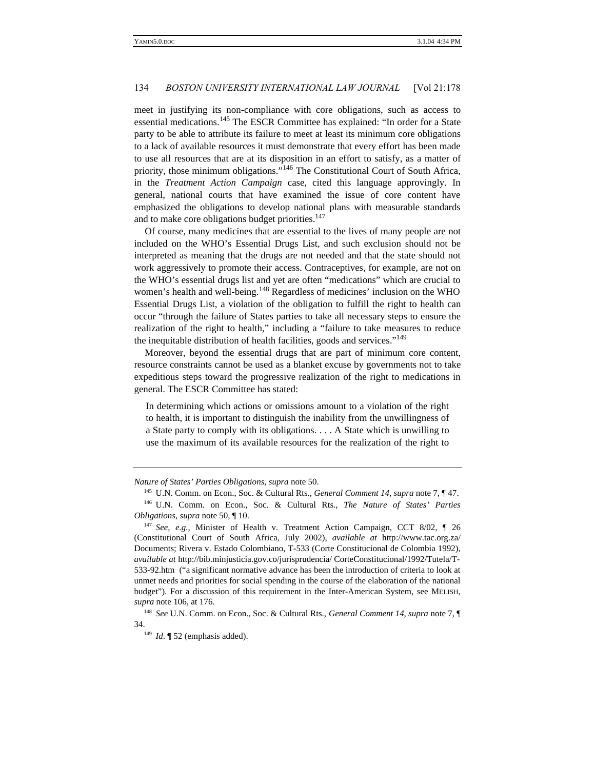meet in justifying its non-compliance with core obligations, such as access to essential medications.<sup>145</sup> The ESCR Committee has explained: "In order for a State party to be able to attribute its failure to meet at least its minimum core obligations to a lack of available resources it must demonstrate that every effort has been made to use all resources that are at its disposition in an effort to satisfy, as a matter of priority, those minimum obligations."<sup>146</sup> The Constitutional Court of South Africa, in the *Treatment Action Campaign* case, cited this language approvingly. In general, national courts that have examined the issue of core content have emphasized the obligations to develop national plans with measurable standards and to make core obligations budget priorities.<sup>147</sup>

Of course, many medicines that are essential to the lives of many people are not included on the WHO's Essential Drugs List, and such exclusion should not be interpreted as meaning that the drugs are not needed and that the state should not work aggressively to promote their access. Contraceptives, for example, are not on the WHO's essential drugs list and yet are often "medications" which are crucial to women's health and well-being.<sup>148</sup> Regardless of medicines' inclusion on the WHO Essential Drugs List, a violation of the obligation to fulfill the right to health can occur "through the failure of States parties to take all necessary steps to ensure the realization of the right to health," including a "failure to take measures to reduce the inequitable distribution of health facilities, goods and services."<sup>149</sup>

Moreover, beyond the essential drugs that are part of minimum core content, resource constraints cannot be used as a blanket excuse by governments not to take expeditious steps toward the progressive realization of the right to medications in general. The ESCR Committee has stated:

In determining which actions or omissions amount to a violation of the right to health, it is important to distinguish the inability from the unwillingness of a State party to comply with its obligations. . . . A State which is unwilling to use the maximum of its available resources for the realization of the right to

*Nature of States' Parties Obligations*, *supra* note 50.

<sup>145</sup> U.N. Comm. on Econ., Soc. & Cultural Rts., *General Comment 14*, *supra* note 7, ¶ 47. <sup>146</sup> U.N. Comm. on Econ., Soc. & Cultural Rts., *The Nature of States' Parties Obligations*, *supra* note 50, ¶ 10.

<sup>147</sup> *See, e.g.,* Minister of Health v. Treatment Action Campaign, CCT 8/02, ¶ 26 (Constitutional Court of South Africa, July 2002), *available at* http://www.tac.org.za/ Documents; Rivera v. Estado Colombiano, T-533 (Corte Constitucional de Colombia 1992), *available at* http://bib.minjusticia.gov.co/jurisprudencia/ CorteConstitucional/1992/Tutela/T-533-92.htm ("a significant normative advance has been the introduction of criteria to look at unmet needs and priorities for social spending in the course of the elaboration of the national budget"). For a discussion of this requirement in the Inter-American System, see MELISH, *supra* note 106, at 176.

<sup>148</sup> *See* U.N. Comm. on Econ., Soc. & Cultural Rts., *General Comment 14*, *supra* note 7, ¶ 34.

 $149$  *Id*.  $\sqrt{\ }$  52 (emphasis added).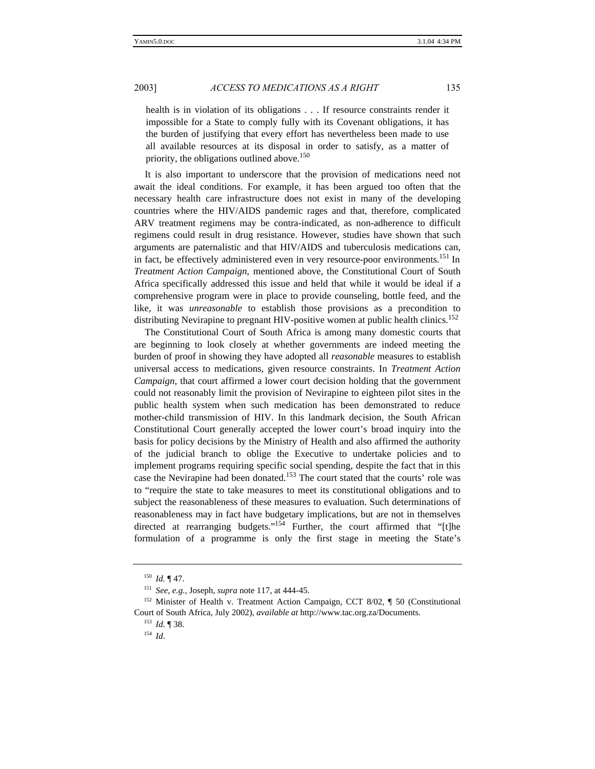health is in violation of its obligations . . . If resource constraints render it impossible for a State to comply fully with its Covenant obligations, it has the burden of justifying that every effort has nevertheless been made to use all available resources at its disposal in order to satisfy, as a matter of priority, the obligations outlined above.<sup>150</sup>

It is also important to underscore that the provision of medications need not await the ideal conditions. For example, it has been argued too often that the necessary health care infrastructure does not exist in many of the developing countries where the HIV/AIDS pandemic rages and that, therefore, complicated ARV treatment regimens may be contra-indicated, as non-adherence to difficult regimens could result in drug resistance. However, studies have shown that such arguments are paternalistic and that HIV/AIDS and tuberculosis medications can, in fact, be effectively administered even in very resource-poor environments.<sup>151</sup> In *Treatment Action Campaign,* mentioned above, the Constitutional Court of South Africa specifically addressed this issue and held that while it would be ideal if a comprehensive program were in place to provide counseling, bottle feed, and the like, it was *unreasonable* to establish those provisions as a precondition to distributing Nevirapine to pregnant HIV-positive women at public health clinics.<sup>152</sup>

The Constitutional Court of South Africa is among many domestic courts that are beginning to look closely at whether governments are indeed meeting the burden of proof in showing they have adopted all *reasonable* measures to establish universal access to medications, given resource constraints. In *Treatment Action Campaign,* that court affirmed a lower court decision holding that the government could not reasonably limit the provision of Nevirapine to eighteen pilot sites in the public health system when such medication has been demonstrated to reduce mother-child transmission of HIV. In this landmark decision, the South African Constitutional Court generally accepted the lower court's broad inquiry into the basis for policy decisions by the Ministry of Health and also affirmed the authority of the judicial branch to oblige the Executive to undertake policies and to implement programs requiring specific social spending, despite the fact that in this case the Nevirapine had been donated.<sup>153</sup> The court stated that the courts' role was to "require the state to take measures to meet its constitutional obligations and to subject the reasonableness of these measures to evaluation. Such determinations of reasonableness may in fact have budgetary implications, but are not in themselves directed at rearranging budgets."<sup>154</sup> Further, the court affirmed that "[t]he formulation of a programme is only the first stage in meeting the State's

<sup>150</sup> *Id.* ¶ 47.

<sup>151</sup> *See, e.g.,* Joseph, *supra* note 117, at 444-45.

<sup>&</sup>lt;sup>152</sup> Minister of Health v. Treatment Action Campaign, CCT 8/02, ¶ 50 (Constitutional Court of South Africa, July 2002), *available at* http://www.tac.org.za/Documents.

<sup>153</sup> *Id.* ¶ 38.

<sup>154</sup> *Id*.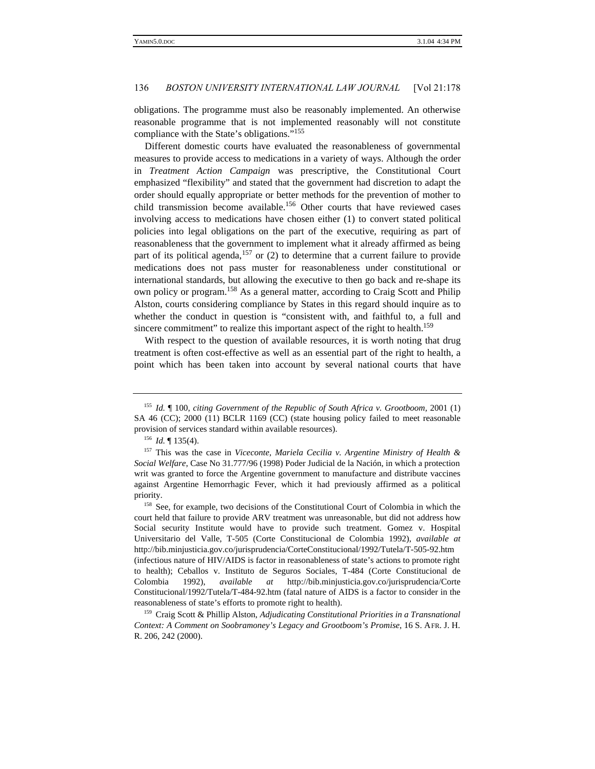obligations. The programme must also be reasonably implemented. An otherwise reasonable programme that is not implemented reasonably will not constitute compliance with the State's obligations."<sup>155</sup>

Different domestic courts have evaluated the reasonableness of governmental measures to provide access to medications in a variety of ways. Although the order in *Treatment Action Campaign* was prescriptive, the Constitutional Court emphasized "flexibility" and stated that the government had discretion to adapt the order should equally appropriate or better methods for the prevention of mother to child transmission become available.<sup>156</sup> Other courts that have reviewed cases involving access to medications have chosen either (1) to convert stated political policies into legal obligations on the part of the executive, requiring as part of reasonableness that the government to implement what it already affirmed as being part of its political agenda,<sup>157</sup> or  $(2)$  to determine that a current failure to provide medications does not pass muster for reasonableness under constitutional or international standards, but allowing the executive to then go back and re-shape its own policy or program.<sup>158</sup> As a general matter, according to Craig Scott and Philip Alston, courts considering compliance by States in this regard should inquire as to whether the conduct in question is "consistent with, and faithful to, a full and sincere commitment" to realize this important aspect of the right to health.<sup>159</sup>

With respect to the question of available resources, it is worth noting that drug treatment is often cost-effective as well as an essential part of the right to health, a point which has been taken into account by several national courts that have

<sup>155</sup> *Id.* ¶ 100, *citing Government of the Republic of South Africa v. Grootboom,* 2001 (1) SA 46 (CC); 2000 (11) BCLR 1169 (CC) (state housing policy failed to meet reasonable provision of services standard within available resources).

<sup>156</sup> *Id.* ¶ 135(4).

<sup>157</sup> This was the case in *Viceconte, Mariela Cecilia v. Argentine Ministry of Health & Social Welfare*, Case No 31.777/96 (1998) Poder Judicial de la Nación, in which a protection writ was granted to force the Argentine government to manufacture and distribute vaccines against Argentine Hemorrhagic Fever, which it had previously affirmed as a political priority.

<sup>&</sup>lt;sup>158</sup> See, for example, two decisions of the Constitutional Court of Colombia in which the court held that failure to provide ARV treatment was unreasonable, but did not address how Social security Institute would have to provide such treatment. Gomez v. Hospital Universitario del Valle, T-505 (Corte Constitucional de Colombia 1992), *available at* http://bib.minjusticia.gov.co/jurisprudencia/CorteConstitucional/1992/Tutela/T-505-92.htm (infectious nature of HIV/AIDS is factor in reasonableness of state's actions to promote right to health); Ceballos v. Instituto de Seguros Sociales, T-484 (Corte Constitucional de Colombia 1992), *available at* http://bib.minjusticia.gov.co/jurisprudencia/Corte Constitucional/1992/Tutela/T-484-92.htm (fatal nature of AIDS is a factor to consider in the reasonableness of state's efforts to promote right to health).

<sup>159</sup> Craig Scott & Phillip Alston, *Adjudicating Constitutional Priorities in a Transnational Context: A Comment on Soobramoney's Legacy and Grootboom's Promise*, 16 S. AFR. J. H. R. 206, 242 (2000).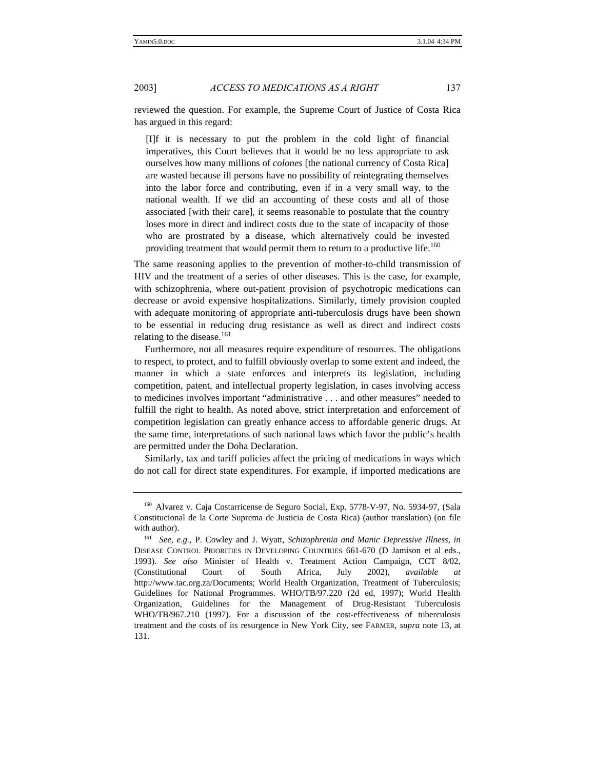reviewed the question. For example, the Supreme Court of Justice of Costa Rica has argued in this regard:

[I]f it is necessary to put the problem in the cold light of financial imperatives, this Court believes that it would be no less appropriate to ask ourselves how many millions of *colones* [the national currency of Costa Rica] are wasted because ill persons have no possibility of reintegrating themselves into the labor force and contributing, even if in a very small way, to the national wealth. If we did an accounting of these costs and all of those associated [with their care], it seems reasonable to postulate that the country loses more in direct and indirect costs due to the state of incapacity of those who are prostrated by a disease, which alternatively could be invested providing treatment that would permit them to return to a productive life.<sup>160</sup>

The same reasoning applies to the prevention of mother-to-child transmission of HIV and the treatment of a series of other diseases. This is the case, for example, with schizophrenia, where out-patient provision of psychotropic medications can decrease or avoid expensive hospitalizations. Similarly, timely provision coupled with adequate monitoring of appropriate anti-tuberculosis drugs have been shown to be essential in reducing drug resistance as well as direct and indirect costs relating to the disease.<sup>161</sup>

Furthermore, not all measures require expenditure of resources. The obligations to respect, to protect, and to fulfill obviously overlap to some extent and indeed, the manner in which a state enforces and interprets its legislation, including competition, patent, and intellectual property legislation, in cases involving access to medicines involves important "administrative . . . and other measures" needed to fulfill the right to health. As noted above, strict interpretation and enforcement of competition legislation can greatly enhance access to affordable generic drugs. At the same time, interpretations of such national laws which favor the public's health are permitted under the Doha Declaration.

Similarly, tax and tariff policies affect the pricing of medications in ways which do not call for direct state expenditures. For example, if imported medications are

<sup>160</sup> Alvarez v. Caja Costarricense de Seguro Social, Exp. 5778-V-97, No. 5934-97, (Sala Constitucional de la Corte Suprema de Justicia de Costa Rica) (author translation) (on file with author).

<sup>161</sup> *See, e.g.,* P. Cowley and J. Wyatt, *Schizophrenia and Manic Depressive Illness*, *in* DISEASE CONTROL PRIORITIES IN DEVELOPING COUNTRIES 661-670 (D Jamison et al eds., 1993). *See also* Minister of Health v. Treatment Action Campaign, CCT 8/02, (Constitutional Court of South Africa, July 2002), *available at* http://www.tac.org.za/Documents; World Health Organization, Treatment of Tuberculosis; Guidelines for National Programmes. WHO/TB/97.220 (2d ed, 1997); World Health Organization, Guidelines for the Management of Drug-Resistant Tuberculosis WHO/TB/967.210 (1997). For a discussion of the cost-effectiveness of tuberculosis treatment and the costs of its resurgence in New York City, see FARMER, *supra* note 13, at 131.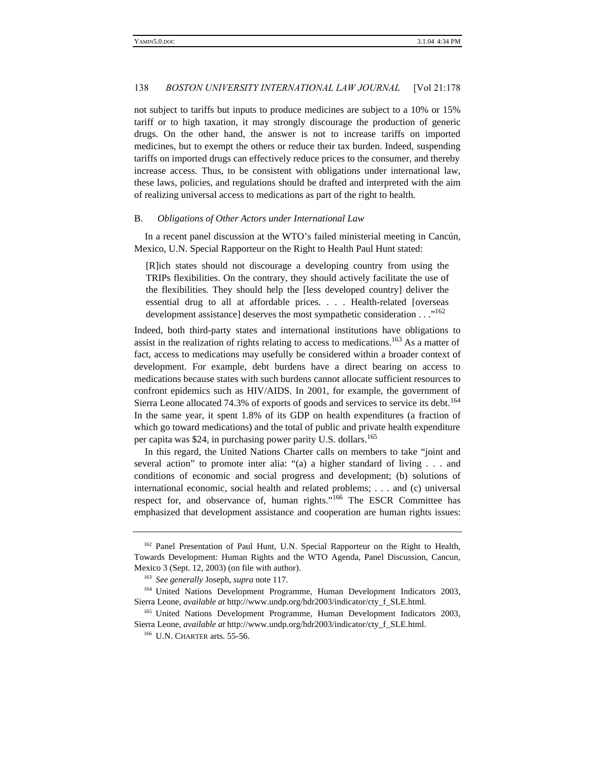not subject to tariffs but inputs to produce medicines are subject to a 10% or 15% tariff or to high taxation, it may strongly discourage the production of generic drugs. On the other hand, the answer is not to increase tariffs on imported medicines, but to exempt the others or reduce their tax burden. Indeed, suspending tariffs on imported drugs can effectively reduce prices to the consumer, and thereby increase access. Thus, to be consistent with obligations under international law, these laws, policies, and regulations should be drafted and interpreted with the aim of realizing universal access to medications as part of the right to health.

#### B. *Obligations of Other Actors under International Law*

In a recent panel discussion at the WTO's failed ministerial meeting in Cancún, Mexico, U.N. Special Rapporteur on the Right to Health Paul Hunt stated:

[R]ich states should not discourage a developing country from using the TRIPs flexibilities. On the contrary, they should actively facilitate the use of the flexibilities. They should help the [less developed country] deliver the essential drug to all at affordable prices. . . . Health-related [overseas development assistance] deserves the most sympathetic consideration . . . "<sup>162</sup>

Indeed, both third-party states and international institutions have obligations to assist in the realization of rights relating to access to medications.<sup>163</sup> As a matter of fact, access to medications may usefully be considered within a broader context of development. For example, debt burdens have a direct bearing on access to medications because states with such burdens cannot allocate sufficient resources to confront epidemics such as HIV/AIDS. In 2001, for example, the government of Sierra Leone allocated 74.3% of exports of goods and services to service its debt.<sup>164</sup> In the same year, it spent 1.8% of its GDP on health expenditures (a fraction of which go toward medications) and the total of public and private health expenditure per capita was \$24, in purchasing power parity U.S. dollars.<sup>165</sup>

In this regard, the United Nations Charter calls on members to take "joint and several action" to promote inter alia: "(a) a higher standard of living . . . and conditions of economic and social progress and development; (b) solutions of international economic, social health and related problems; . . . and (c) universal respect for, and observance of, human rights."<sup>166</sup> The ESCR Committee has emphasized that development assistance and cooperation are human rights issues:

<sup>&</sup>lt;sup>162</sup> Panel Presentation of Paul Hunt, U.N. Special Rapporteur on the Right to Health, Towards Development: Human Rights and the WTO Agenda, Panel Discussion, Cancun, Mexico 3 (Sept. 12, 2003) (on file with author).

<sup>163</sup> *See generally* Joseph, *supra* note 117.

<sup>164</sup> United Nations Development Programme, Human Development Indicators 2003, Sierra Leone, *available at* http://www.undp.org/hdr2003/indicator/cty\_f\_SLE.html.

<sup>&</sup>lt;sup>165</sup> United Nations Development Programme, Human Development Indicators 2003, Sierra Leone, *available at* http://www.undp.org/hdr2003/indicator/cty\_f\_SLE.html.

<sup>&</sup>lt;sup>166</sup> U.N. CHARTER arts. 55-56.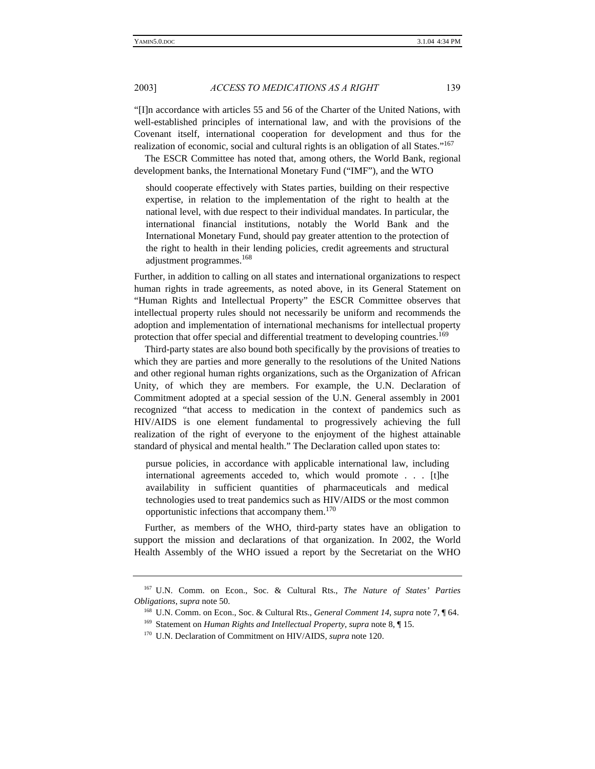"[I]n accordance with articles 55 and 56 of the Charter of the United Nations, with well-established principles of international law, and with the provisions of the Covenant itself, international cooperation for development and thus for the realization of economic, social and cultural rights is an obligation of all States."<sup>167</sup>

The ESCR Committee has noted that, among others, the World Bank, regional development banks, the International Monetary Fund ("IMF"), and the WTO

should cooperate effectively with States parties, building on their respective expertise, in relation to the implementation of the right to health at the national level, with due respect to their individual mandates. In particular, the international financial institutions, notably the World Bank and the International Monetary Fund, should pay greater attention to the protection of the right to health in their lending policies, credit agreements and structural adjustment programmes.<sup>168</sup>

Further, in addition to calling on all states and international organizations to respect human rights in trade agreements, as noted above, in its General Statement on "Human Rights and Intellectual Property" the ESCR Committee observes that intellectual property rules should not necessarily be uniform and recommends the adoption and implementation of international mechanisms for intellectual property protection that offer special and differential treatment to developing countries.<sup>169</sup>

Third-party states are also bound both specifically by the provisions of treaties to which they are parties and more generally to the resolutions of the United Nations and other regional human rights organizations, such as the Organization of African Unity, of which they are members. For example, the U.N. Declaration of Commitment adopted at a special session of the U.N. General assembly in 2001 recognized "that access to medication in the context of pandemics such as HIV/AIDS is one element fundamental to progressively achieving the full realization of the right of everyone to the enjoyment of the highest attainable standard of physical and mental health." The Declaration called upon states to:

pursue policies, in accordance with applicable international law, including international agreements acceded to, which would promote . . . [t]he availability in sufficient quantities of pharmaceuticals and medical technologies used to treat pandemics such as HIV/AIDS or the most common opportunistic infections that accompany them.<sup>170</sup>

Further, as members of the WHO, third-party states have an obligation to support the mission and declarations of that organization. In 2002, the World Health Assembly of the WHO issued a report by the Secretariat on the WHO

<sup>167</sup> U.N. Comm. on Econ., Soc. & Cultural Rts., *The Nature of States' Parties Obligations*, *supra* note 50.

<sup>168</sup> U.N. Comm. on Econ., Soc. & Cultural Rts., *General Comment 14*, *supra* note 7, ¶ 64.

<sup>169</sup> Statement on *Human Rights and Intellectual Property*, *supra* note 8, ¶ 15.

<sup>170</sup> U.N. Declaration of Commitment on HIV/AIDS, *supra* note 120.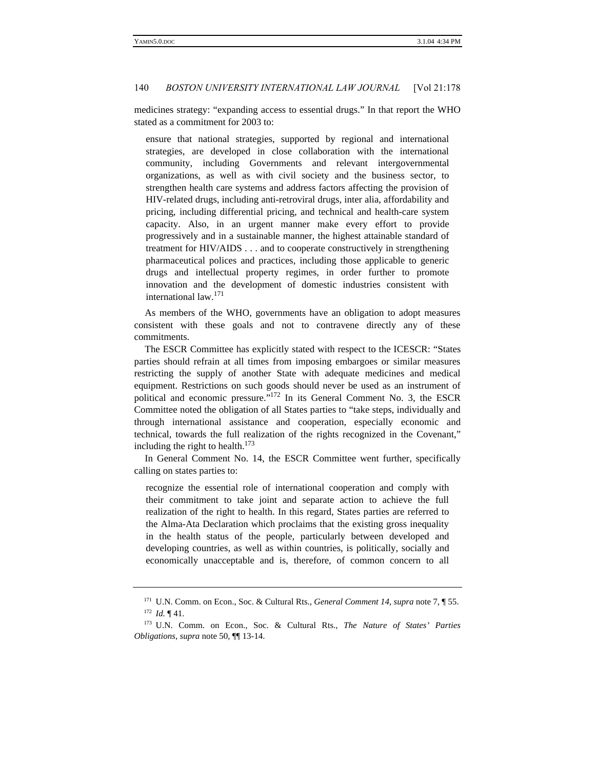medicines strategy: "expanding access to essential drugs." In that report the WHO stated as a commitment for 2003 to:

ensure that national strategies, supported by regional and international strategies, are developed in close collaboration with the international community, including Governments and relevant intergovernmental organizations, as well as with civil society and the business sector, to strengthen health care systems and address factors affecting the provision of HIV-related drugs, including anti-retroviral drugs, inter alia, affordability and pricing, including differential pricing, and technical and health-care system capacity. Also, in an urgent manner make every effort to provide progressively and in a sustainable manner, the highest attainable standard of treatment for HIV/AIDS . . . and to cooperate constructively in strengthening pharmaceutical polices and practices, including those applicable to generic drugs and intellectual property regimes, in order further to promote innovation and the development of domestic industries consistent with international law.<sup>171</sup>

As members of the WHO, governments have an obligation to adopt measures consistent with these goals and not to contravene directly any of these commitments.

The ESCR Committee has explicitly stated with respect to the ICESCR: "States parties should refrain at all times from imposing embargoes or similar measures restricting the supply of another State with adequate medicines and medical equipment. Restrictions on such goods should never be used as an instrument of political and economic pressure."<sup>172</sup> In its General Comment No. 3, the ESCR Committee noted the obligation of all States parties to "take steps, individually and through international assistance and cooperation, especially economic and technical, towards the full realization of the rights recognized in the Covenant," including the right to health.<sup>173</sup>

In General Comment No. 14, the ESCR Committee went further, specifically calling on states parties to:

recognize the essential role of international cooperation and comply with their commitment to take joint and separate action to achieve the full realization of the right to health. In this regard, States parties are referred to the Alma-Ata Declaration which proclaims that the existing gross inequality in the health status of the people, particularly between developed and developing countries, as well as within countries, is politically, socially and economically unacceptable and is, therefore, of common concern to all

<sup>171</sup> U.N. Comm. on Econ., Soc. & Cultural Rts., *General Comment 14*, *supra* note 7, ¶ 55. <sup>172</sup> *Id.* ¶ 41.

<sup>173</sup> U.N. Comm. on Econ., Soc. & Cultural Rts., *The Nature of States' Parties Obligations*, *supra* note 50, ¶¶ 13-14.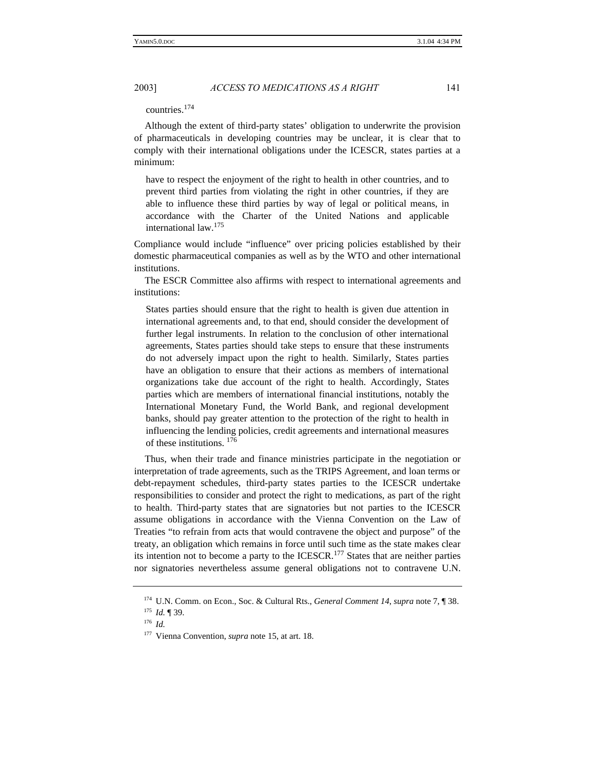countries.<sup>174</sup>

Although the extent of third-party states' obligation to underwrite the provision of pharmaceuticals in developing countries may be unclear, it is clear that to comply with their international obligations under the ICESCR, states parties at a minimum:

have to respect the enjoyment of the right to health in other countries, and to prevent third parties from violating the right in other countries, if they are able to influence these third parties by way of legal or political means, in accordance with the Charter of the United Nations and applicable international law.<sup>175</sup>

Compliance would include "influence" over pricing policies established by their domestic pharmaceutical companies as well as by the WTO and other international institutions.

The ESCR Committee also affirms with respect to international agreements and institutions:

States parties should ensure that the right to health is given due attention in international agreements and, to that end, should consider the development of further legal instruments. In relation to the conclusion of other international agreements, States parties should take steps to ensure that these instruments do not adversely impact upon the right to health. Similarly, States parties have an obligation to ensure that their actions as members of international organizations take due account of the right to health. Accordingly, States parties which are members of international financial institutions, notably the International Monetary Fund, the World Bank, and regional development banks, should pay greater attention to the protection of the right to health in influencing the lending policies, credit agreements and international measures of these institutions. <sup>176</sup>

Thus, when their trade and finance ministries participate in the negotiation or interpretation of trade agreements, such as the TRIPS Agreement, and loan terms or debt-repayment schedules, third-party states parties to the ICESCR undertake responsibilities to consider and protect the right to medications, as part of the right to health. Third-party states that are signatories but not parties to the ICESCR assume obligations in accordance with the Vienna Convention on the Law of Treaties "to refrain from acts that would contravene the object and purpose" of the treaty, an obligation which remains in force until such time as the state makes clear its intention not to become a party to the ICESCR.<sup>177</sup> States that are neither parties nor signatories nevertheless assume general obligations not to contravene U.N.

<sup>174</sup> U.N. Comm. on Econ., Soc. & Cultural Rts., *General Comment 14*, *supra* note 7, ¶ 38.

<sup>175</sup> *Id.* ¶ 39.

<sup>176</sup> *Id.*

<sup>177</sup> Vienna Convention, *supra* note 15, at art. 18.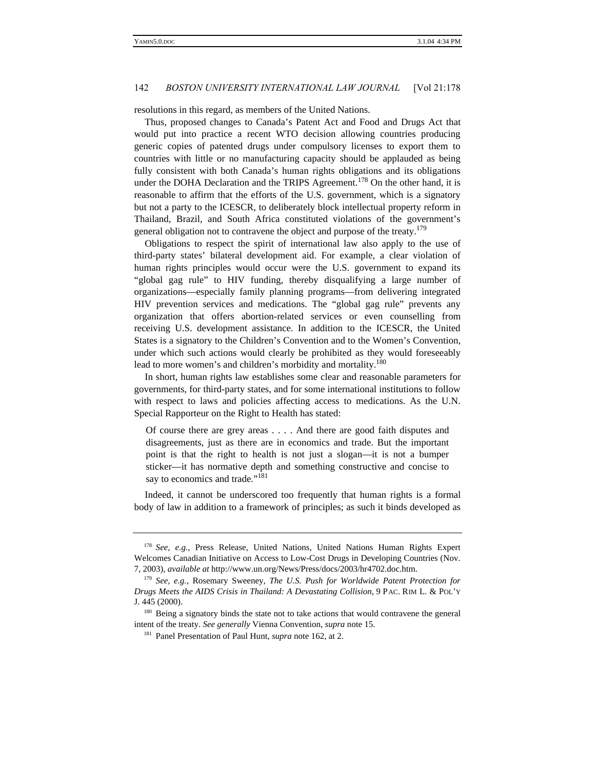resolutions in this regard, as members of the United Nations.

Thus, proposed changes to Canada's Patent Act and Food and Drugs Act that would put into practice a recent WTO decision allowing countries producing generic copies of patented drugs under compulsory licenses to export them to countries with little or no manufacturing capacity should be applauded as being fully consistent with both Canada's human rights obligations and its obligations under the DOHA Declaration and the TRIPS Agreement.<sup>178</sup> On the other hand, it is reasonable to affirm that the efforts of the U.S. government, which is a signatory but not a party to the ICESCR, to deliberately block intellectual property reform in Thailand, Brazil, and South Africa constituted violations of the government's general obligation not to contravene the object and purpose of the treaty.<sup>179</sup>

Obligations to respect the spirit of international law also apply to the use of third-party states' bilateral development aid. For example, a clear violation of human rights principles would occur were the U.S. government to expand its "global gag rule" to HIV funding, thereby disqualifying a large number of organizations—especially family planning programs—from delivering integrated HIV prevention services and medications. The "global gag rule" prevents any organization that offers abortion-related services or even counselling from receiving U.S. development assistance. In addition to the ICESCR, the United States is a signatory to the Children's Convention and to the Women's Convention, under which such actions would clearly be prohibited as they would foreseeably lead to more women's and children's morbidity and mortality.<sup>180</sup>

In short, human rights law establishes some clear and reasonable parameters for governments, for third-party states, and for some international institutions to follow with respect to laws and policies affecting access to medications. As the U.N. Special Rapporteur on the Right to Health has stated:

Of course there are grey areas . . . . And there are good faith disputes and disagreements, just as there are in economics and trade. But the important point is that the right to health is not just a slogan—it is not a bumper sticker—it has normative depth and something constructive and concise to say to economics and trade."<sup>181</sup>

Indeed, it cannot be underscored too frequently that human rights is a formal body of law in addition to a framework of principles; as such it binds developed as

<sup>178</sup> *See, e.g.,* Press Release, United Nations, United Nations Human Rights Expert Welcomes Canadian Initiative on Access to Low-Cost Drugs in Developing Countries (Nov. 7, 2003), *available at* http://www.un.org/News/Press/docs/2003/hr4702.doc.htm.

<sup>179</sup> *See, e.g.,* Rosemary Sweeney, *The U.S. Push for Worldwide Patent Protection for Drugs Meets the AIDS Crisis in Thailand: A Devastating Collision*, 9 PAC. RIM L. & POL'Y J. 445 (2000).

<sup>&</sup>lt;sup>180</sup> Being a signatory binds the state not to take actions that would contravene the general intent of the treaty. *See generally* Vienna Convention, *supra* note 15.

<sup>181</sup> Panel Presentation of Paul Hunt, *supra* note 162, at 2.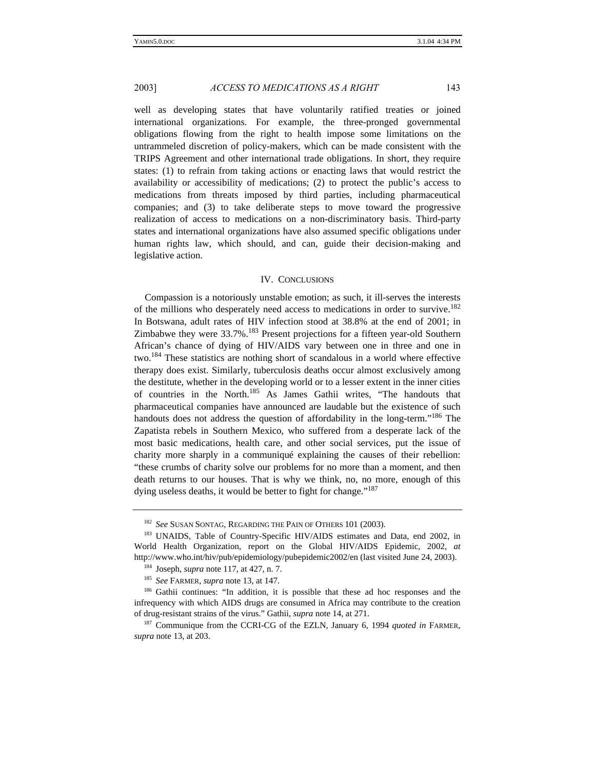well as developing states that have voluntarily ratified treaties or joined international organizations. For example, the three-pronged governmental obligations flowing from the right to health impose some limitations on the untrammeled discretion of policy-makers, which can be made consistent with the TRIPS Agreement and other international trade obligations. In short, they require states: (1) to refrain from taking actions or enacting laws that would restrict the availability or accessibility of medications; (2) to protect the public's access to medications from threats imposed by third parties, including pharmaceutical companies; and (3) to take deliberate steps to move toward the progressive realization of access to medications on a non-discriminatory basis. Third-party states and international organizations have also assumed specific obligations under human rights law, which should, and can, guide their decision-making and legislative action.

#### IV. CONCLUSIONS

Compassion is a notoriously unstable emotion; as such, it ill-serves the interests of the millions who desperately need access to medications in order to survive.<sup>182</sup> In Botswana, adult rates of HIV infection stood at 38.8% at the end of 2001; in Zimbabwe they were 33.7%.<sup>183</sup> Present projections for a fifteen year-old Southern African's chance of dying of HIV/AIDS vary between one in three and one in two.<sup>184</sup> These statistics are nothing short of scandalous in a world where effective therapy does exist. Similarly, tuberculosis deaths occur almost exclusively among the destitute, whether in the developing world or to a lesser extent in the inner cities of countries in the North.<sup>185</sup> As James Gathii writes, "The handouts that pharmaceutical companies have announced are laudable but the existence of such handouts does not address the question of affordability in the long-term."<sup>186</sup> The Zapatista rebels in Southern Mexico, who suffered from a desperate lack of the most basic medications, health care, and other social services, put the issue of charity more sharply in a communiqué explaining the causes of their rebellion: "these crumbs of charity solve our problems for no more than a moment, and then death returns to our houses. That is why we think, no, no more, enough of this dying useless deaths, it would be better to fight for change."<sup>187</sup>

<sup>182</sup> *See* SUSAN SONTAG, REGARDING THE PAIN OF OTHERS 101 (2003).

<sup>&</sup>lt;sup>183</sup> UNAIDS, Table of Country-Specific HIV/AIDS estimates and Data, end 2002, in World Health Organization, report on the Global HIV/AIDS Epidemic, 2002, *at* http://www.who.int/hiv/pub/epidemiology/pubepidemic2002/en (last visited June 24, 2003).

<sup>184</sup> Joseph, *supra* note 117, at 427, n. 7.

<sup>185</sup> *See* FARMER, *supra* note 13, at 147.

<sup>&</sup>lt;sup>186</sup> Gathii continues: "In addition, it is possible that these ad hoc responses and the infrequency with which AIDS drugs are consumed in Africa may contribute to the creation of drug-resistant strains of the virus." Gathii, *supra* note 14, at 271.

<sup>&</sup>lt;sup>187</sup> Communique from the CCRI-CG of the EZLN, January 6, 1994 *quoted in* FARMER, *supra* note 13, at 203.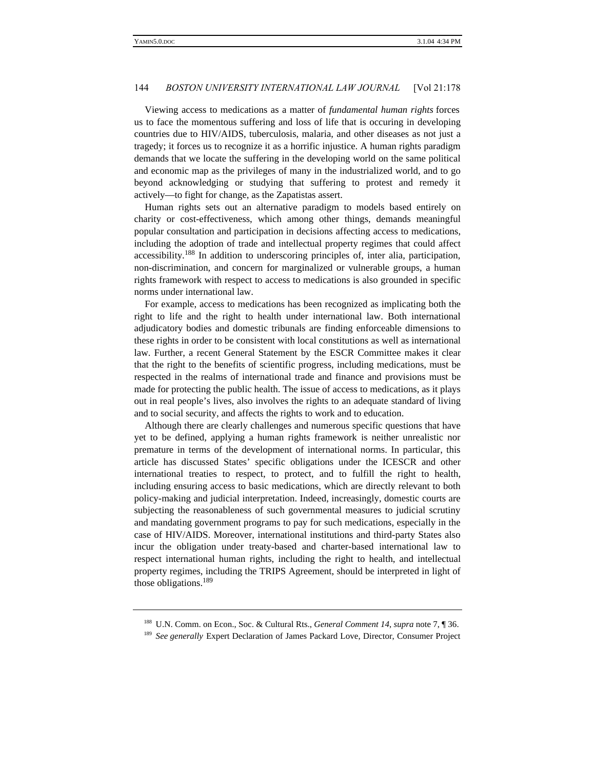Viewing access to medications as a matter of *fundamental human rights* forces us to face the momentous suffering and loss of life that is occuring in developing countries due to HIV/AIDS, tuberculosis, malaria, and other diseases as not just a tragedy; it forces us to recognize it as a horrific injustice. A human rights paradigm demands that we locate the suffering in the developing world on the same political and economic map as the privileges of many in the industrialized world, and to go beyond acknowledging or studying that suffering to protest and remedy it actively—to fight for change, as the Zapatistas assert.

Human rights sets out an alternative paradigm to models based entirely on charity or cost-effectiveness, which among other things, demands meaningful popular consultation and participation in decisions affecting access to medications, including the adoption of trade and intellectual property regimes that could affect accessibility.<sup>188</sup> In addition to underscoring principles of, inter alia, participation, non-discrimination, and concern for marginalized or vulnerable groups, a human rights framework with respect to access to medications is also grounded in specific norms under international law.

For example, access to medications has been recognized as implicating both the right to life and the right to health under international law. Both international adjudicatory bodies and domestic tribunals are finding enforceable dimensions to these rights in order to be consistent with local constitutions as well as international law. Further, a recent General Statement by the ESCR Committee makes it clear that the right to the benefits of scientific progress, including medications, must be respected in the realms of international trade and finance and provisions must be made for protecting the public health. The issue of access to medications, as it plays out in real people's lives, also involves the rights to an adequate standard of living and to social security, and affects the rights to work and to education.

Although there are clearly challenges and numerous specific questions that have yet to be defined, applying a human rights framework is neither unrealistic nor premature in terms of the development of international norms. In particular, this article has discussed States' specific obligations under the ICESCR and other international treaties to respect, to protect, and to fulfill the right to health, including ensuring access to basic medications, which are directly relevant to both policy-making and judicial interpretation. Indeed, increasingly, domestic courts are subjecting the reasonableness of such governmental measures to judicial scrutiny and mandating government programs to pay for such medications, especially in the case of HIV/AIDS. Moreover, international institutions and third-party States also incur the obligation under treaty-based and charter-based international law to respect international human rights, including the right to health, and intellectual property regimes, including the TRIPS Agreement, should be interpreted in light of those obligations.<sup>189</sup>

<sup>188</sup> U.N. Comm. on Econ., Soc. & Cultural Rts., *General Comment 14*, *supra* note 7, ¶ 36.

<sup>&</sup>lt;sup>189</sup> See generally Expert Declaration of James Packard Love, Director, Consumer Project